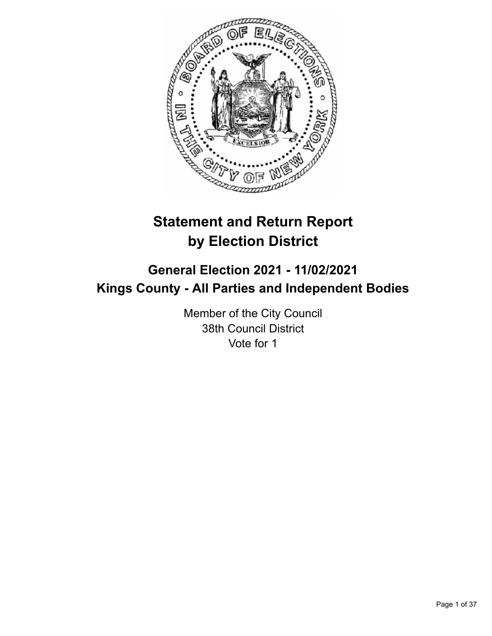

# **Statement and Return Report by Election District**

## **General Election 2021 - 11/02/2021 Kings County - All Parties and Independent Bodies**

Member of the City Council 38th Council District Vote for 1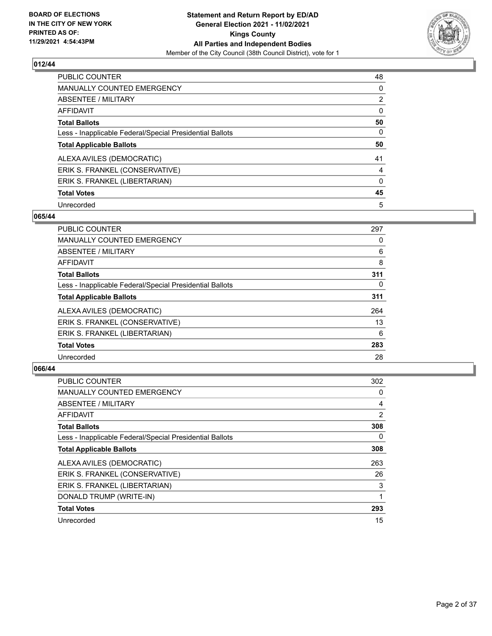

| <b>PUBLIC COUNTER</b>                                    | 48             |
|----------------------------------------------------------|----------------|
| <b>MANUALLY COUNTED EMERGENCY</b>                        | 0              |
| ABSENTEE / MILITARY                                      | $\overline{2}$ |
| AFFIDAVIT                                                | $\Omega$       |
| <b>Total Ballots</b>                                     | 50             |
| Less - Inapplicable Federal/Special Presidential Ballots | 0              |
| <b>Total Applicable Ballots</b>                          | 50             |
| ALEXA AVILES (DEMOCRATIC)                                | 41             |
| ERIK S. FRANKEL (CONSERVATIVE)                           | 4              |
| ERIK S. FRANKEL (LIBERTARIAN)                            | $\Omega$       |
| <b>Total Votes</b>                                       | 45             |
| Unrecorded                                               | 5              |

#### **065/44**

| <b>PUBLIC COUNTER</b>                                    | 297      |
|----------------------------------------------------------|----------|
| MANUALLY COUNTED EMERGENCY                               | 0        |
| ABSENTEE / MILITARY                                      | 6        |
| <b>AFFIDAVIT</b>                                         | 8        |
| <b>Total Ballots</b>                                     | 311      |
| Less - Inapplicable Federal/Special Presidential Ballots | $\Omega$ |
| <b>Total Applicable Ballots</b>                          | 311      |
| ALEXA AVILES (DEMOCRATIC)                                | 264      |
| ERIK S. FRANKEL (CONSERVATIVE)                           | 13       |
| ERIK S. FRANKEL (LIBERTARIAN)                            | 6        |
| <b>Total Votes</b>                                       | 283      |
| Unrecorded                                               | 28       |

| <b>PUBLIC COUNTER</b>                                    | 302            |
|----------------------------------------------------------|----------------|
| MANUALLY COUNTED EMERGENCY                               | 0              |
| ABSENTEE / MILITARY                                      | 4              |
| AFFIDAVIT                                                | $\overline{2}$ |
| <b>Total Ballots</b>                                     | 308            |
| Less - Inapplicable Federal/Special Presidential Ballots | 0              |
| <b>Total Applicable Ballots</b>                          | 308            |
| ALEXA AVILES (DEMOCRATIC)                                | 263            |
| ERIK S. FRANKEL (CONSERVATIVE)                           | 26             |
| ERIK S. FRANKEL (LIBERTARIAN)                            | 3              |
| DONALD TRUMP (WRITE-IN)                                  |                |
| <b>Total Votes</b>                                       | 293            |
| Unrecorded                                               | 15             |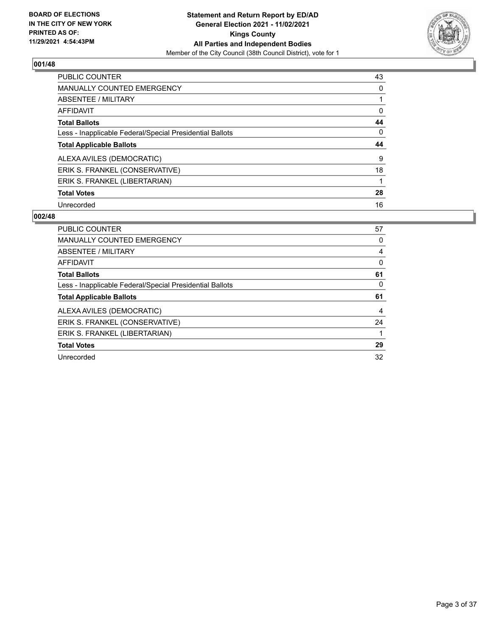

| <b>PUBLIC COUNTER</b>                                    | 43       |
|----------------------------------------------------------|----------|
| <b>MANUALLY COUNTED EMERGENCY</b>                        | $\Omega$ |
| <b>ABSENTEE / MILITARY</b>                               |          |
| <b>AFFIDAVIT</b>                                         | 0        |
| <b>Total Ballots</b>                                     | 44       |
| Less - Inapplicable Federal/Special Presidential Ballots | $\Omega$ |
| <b>Total Applicable Ballots</b>                          | 44       |
|                                                          |          |
| ALEXA AVILES (DEMOCRATIC)                                | 9        |
| ERIK S. FRANKEL (CONSERVATIVE)                           | 18       |
| ERIK S. FRANKEL (LIBERTARIAN)                            |          |
| <b>Total Votes</b>                                       | 28       |

| <b>PUBLIC COUNTER</b>                                    | 57 |
|----------------------------------------------------------|----|
| <b>MANUALLY COUNTED EMERGENCY</b>                        | 0  |
| ABSENTEE / MILITARY                                      | 4  |
| <b>AFFIDAVIT</b>                                         | 0  |
| <b>Total Ballots</b>                                     | 61 |
| Less - Inapplicable Federal/Special Presidential Ballots | 0  |
|                                                          |    |
| <b>Total Applicable Ballots</b>                          | 61 |
| ALEXA AVILES (DEMOCRATIC)                                | 4  |
| ERIK S. FRANKEL (CONSERVATIVE)                           | 24 |
| ERIK S. FRANKEL (LIBERTARIAN)                            | 1  |
| <b>Total Votes</b>                                       | 29 |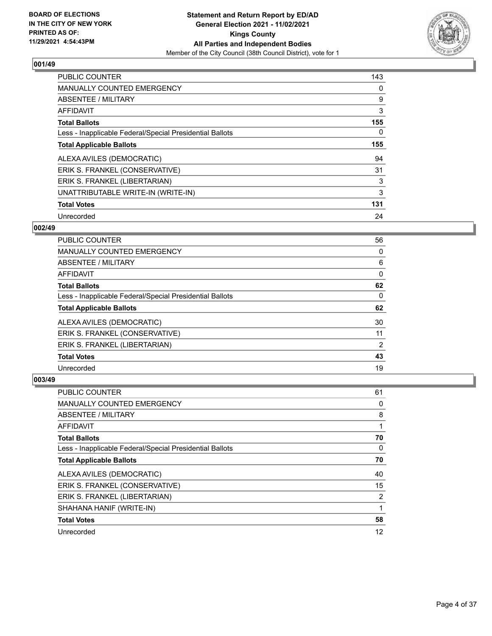

| <b>PUBLIC COUNTER</b>                                    | 143 |
|----------------------------------------------------------|-----|
| <b>MANUALLY COUNTED EMERGENCY</b>                        | 0   |
| ABSENTEE / MILITARY                                      | 9   |
| <b>AFFIDAVIT</b>                                         | 3   |
| <b>Total Ballots</b>                                     | 155 |
| Less - Inapplicable Federal/Special Presidential Ballots | 0   |
| <b>Total Applicable Ballots</b>                          | 155 |
| ALEXA AVILES (DEMOCRATIC)                                | 94  |
| ERIK S. FRANKEL (CONSERVATIVE)                           | 31  |
| ERIK S. FRANKEL (LIBERTARIAN)                            | 3   |
| UNATTRIBUTABLE WRITE-IN (WRITE-IN)                       | 3   |
| <b>Total Votes</b>                                       | 131 |
| Unrecorded                                               | 24  |

#### **002/49**

| PUBLIC COUNTER                                           | 56             |
|----------------------------------------------------------|----------------|
| <b>MANUALLY COUNTED EMERGENCY</b>                        | 0              |
| ABSENTEE / MILITARY                                      | 6              |
| AFFIDAVIT                                                | 0              |
| <b>Total Ballots</b>                                     | 62             |
| Less - Inapplicable Federal/Special Presidential Ballots | 0              |
| <b>Total Applicable Ballots</b>                          | 62             |
| ALEXA AVILES (DEMOCRATIC)                                | 30             |
| ERIK S. FRANKEL (CONSERVATIVE)                           | 11             |
| ERIK S. FRANKEL (LIBERTARIAN)                            | $\overline{2}$ |
| <b>Total Votes</b>                                       | 43             |
| Unrecorded                                               | 19             |

| <b>PUBLIC COUNTER</b>                                    | 61 |
|----------------------------------------------------------|----|
| MANUALLY COUNTED EMERGENCY                               | 0  |
| ABSENTEE / MILITARY                                      | 8  |
| AFFIDAVIT                                                |    |
| <b>Total Ballots</b>                                     | 70 |
| Less - Inapplicable Federal/Special Presidential Ballots | 0  |
| <b>Total Applicable Ballots</b>                          | 70 |
| ALEXA AVILES (DEMOCRATIC)                                | 40 |
| ERIK S. FRANKEL (CONSERVATIVE)                           | 15 |
| ERIK S. FRANKEL (LIBERTARIAN)                            | 2  |
| SHAHANA HANIF (WRITE-IN)                                 |    |
| <b>Total Votes</b>                                       | 58 |
| Unrecorded                                               | 12 |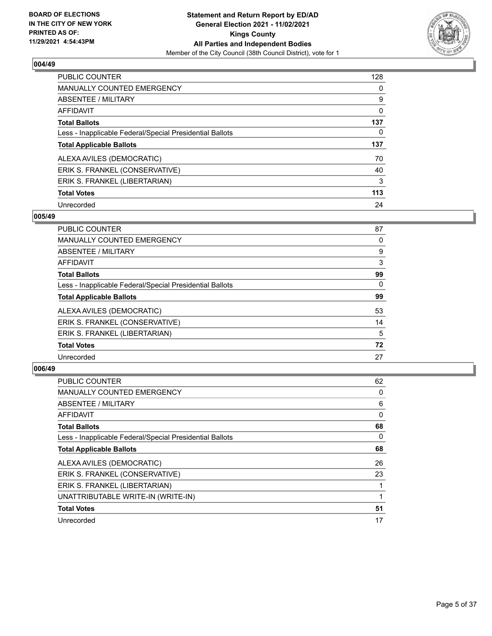

| <b>PUBLIC COUNTER</b>                                    | 128 |
|----------------------------------------------------------|-----|
| <b>MANUALLY COUNTED EMERGENCY</b>                        | 0   |
| ABSENTEE / MILITARY                                      | 9   |
| <b>AFFIDAVIT</b>                                         | 0   |
| <b>Total Ballots</b>                                     | 137 |
| Less - Inapplicable Federal/Special Presidential Ballots | 0   |
| <b>Total Applicable Ballots</b>                          | 137 |
| ALEXA AVILES (DEMOCRATIC)                                | 70  |
| ERIK S. FRANKEL (CONSERVATIVE)                           | 40  |
| ERIK S. FRANKEL (LIBERTARIAN)                            | 3   |
| <b>Total Votes</b>                                       | 113 |
| Unrecorded                                               | 24  |

#### **005/49**

| <b>PUBLIC COUNTER</b>                                    | 87       |
|----------------------------------------------------------|----------|
| <b>MANUALLY COUNTED EMERGENCY</b>                        | 0        |
| ABSENTEE / MILITARY                                      | 9        |
| <b>AFFIDAVIT</b>                                         | 3        |
| <b>Total Ballots</b>                                     | 99       |
| Less - Inapplicable Federal/Special Presidential Ballots | $\Omega$ |
| <b>Total Applicable Ballots</b>                          | 99       |
| ALEXA AVILES (DEMOCRATIC)                                | 53       |
| ERIK S. FRANKEL (CONSERVATIVE)                           | 14       |
| ERIK S. FRANKEL (LIBERTARIAN)                            | 5        |
| <b>Total Votes</b>                                       | 72       |
| Unrecorded                                               | 27       |

| <b>PUBLIC COUNTER</b>                                    | 62 |
|----------------------------------------------------------|----|
| <b>MANUALLY COUNTED EMERGENCY</b>                        | 0  |
| ABSENTEE / MILITARY                                      | 6  |
| AFFIDAVIT                                                | 0  |
| <b>Total Ballots</b>                                     | 68 |
| Less - Inapplicable Federal/Special Presidential Ballots | 0  |
| <b>Total Applicable Ballots</b>                          | 68 |
| ALEXA AVILES (DEMOCRATIC)                                | 26 |
| ERIK S. FRANKEL (CONSERVATIVE)                           | 23 |
| ERIK S. FRANKEL (LIBERTARIAN)                            |    |
| UNATTRIBUTABLE WRITE-IN (WRITE-IN)                       |    |
| <b>Total Votes</b>                                       | 51 |
| Unrecorded                                               | 17 |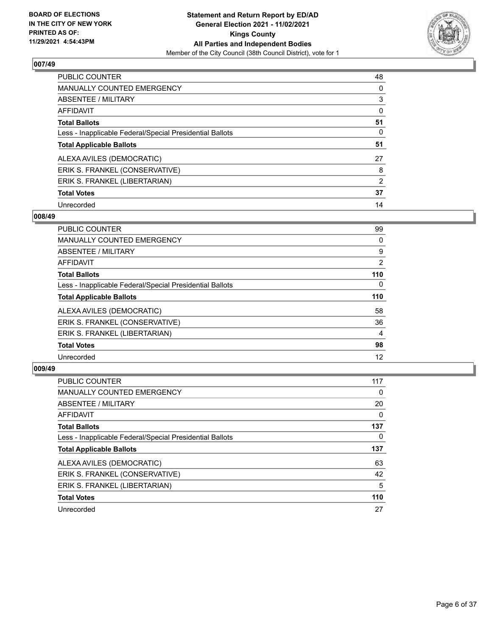

| <b>PUBLIC COUNTER</b>                                    | 48       |
|----------------------------------------------------------|----------|
| <b>MANUALLY COUNTED EMERGENCY</b>                        | 0        |
| ABSENTEE / MILITARY                                      | 3        |
| AFFIDAVIT                                                | $\Omega$ |
| <b>Total Ballots</b>                                     | 51       |
| Less - Inapplicable Federal/Special Presidential Ballots | 0        |
| <b>Total Applicable Ballots</b>                          | 51       |
| ALEXA AVILES (DEMOCRATIC)                                | 27       |
| ERIK S. FRANKEL (CONSERVATIVE)                           | 8        |
| ERIK S. FRANKEL (LIBERTARIAN)                            | 2        |
| <b>Total Votes</b>                                       | 37       |
| Unrecorded                                               | 14       |

#### **008/49**

| <b>PUBLIC COUNTER</b>                                    | 99             |
|----------------------------------------------------------|----------------|
| <b>MANUALLY COUNTED EMERGENCY</b>                        | 0              |
| ABSENTEE / MILITARY                                      | 9              |
| AFFIDAVIT                                                | $\overline{2}$ |
| <b>Total Ballots</b>                                     | 110            |
| Less - Inapplicable Federal/Special Presidential Ballots | 0              |
| <b>Total Applicable Ballots</b>                          | 110            |
| ALEXA AVILES (DEMOCRATIC)                                | 58             |
| ERIK S. FRANKEL (CONSERVATIVE)                           | 36             |
| ERIK S. FRANKEL (LIBERTARIAN)                            | 4              |
| <b>Total Votes</b>                                       | 98             |
| Unrecorded                                               | 12             |
|                                                          |                |

| <b>PUBLIC COUNTER</b>                                    | 117      |
|----------------------------------------------------------|----------|
| <b>MANUALLY COUNTED EMERGENCY</b>                        | $\Omega$ |
| ABSENTEE / MILITARY                                      | 20       |
| AFFIDAVIT                                                | $\Omega$ |
| <b>Total Ballots</b>                                     | 137      |
| Less - Inapplicable Federal/Special Presidential Ballots | 0        |
| <b>Total Applicable Ballots</b>                          | 137      |
| ALEXA AVILES (DEMOCRATIC)                                | 63       |
| ERIK S. FRANKEL (CONSERVATIVE)                           | 42       |
| ERIK S. FRANKEL (LIBERTARIAN)                            | 5        |
| <b>Total Votes</b>                                       | 110      |
| Unrecorded                                               | 27       |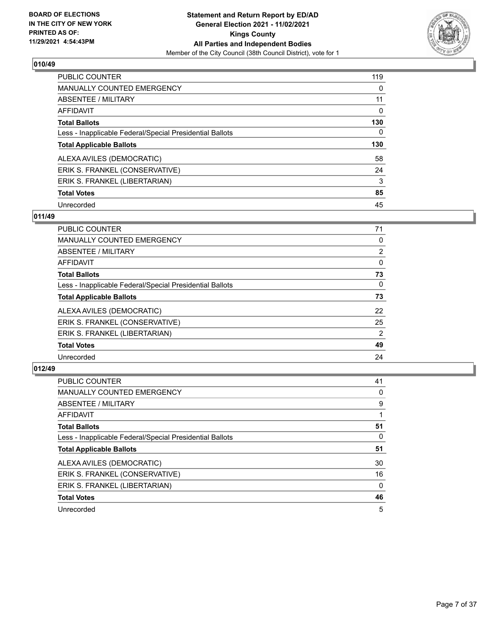

| <b>PUBLIC COUNTER</b>                                    | 119      |
|----------------------------------------------------------|----------|
| <b>MANUALLY COUNTED EMERGENCY</b>                        | $\Omega$ |
| ABSENTEE / MILITARY                                      | 11       |
| AFFIDAVIT                                                | 0        |
| <b>Total Ballots</b>                                     | 130      |
| Less - Inapplicable Federal/Special Presidential Ballots | 0        |
| <b>Total Applicable Ballots</b>                          | 130      |
| ALEXA AVILES (DEMOCRATIC)                                | 58       |
| ERIK S. FRANKEL (CONSERVATIVE)                           | 24       |
| ERIK S. FRANKEL (LIBERTARIAN)                            | 3        |
| <b>Total Votes</b>                                       | 85       |
| Unrecorded                                               | 45       |

## **011/49**

| <b>PUBLIC COUNTER</b>                                    | 71             |
|----------------------------------------------------------|----------------|
| <b>MANUALLY COUNTED EMERGENCY</b>                        | 0              |
| ABSENTEE / MILITARY                                      | $\overline{2}$ |
| <b>AFFIDAVIT</b>                                         | $\Omega$       |
| <b>Total Ballots</b>                                     | 73             |
| Less - Inapplicable Federal/Special Presidential Ballots | $\Omega$       |
| <b>Total Applicable Ballots</b>                          | 73             |
| ALEXA AVILES (DEMOCRATIC)                                | 22             |
| ERIK S. FRANKEL (CONSERVATIVE)                           | 25             |
| ERIK S. FRANKEL (LIBERTARIAN)                            | $\overline{2}$ |
| <b>Total Votes</b>                                       | 49             |
| Unrecorded                                               | 24             |

| PUBLIC COUNTER                                           | 41           |
|----------------------------------------------------------|--------------|
| <b>MANUALLY COUNTED EMERGENCY</b>                        | 0            |
| ABSENTEE / MILITARY                                      | 9            |
| AFFIDAVIT                                                |              |
| <b>Total Ballots</b>                                     | 51           |
| Less - Inapplicable Federal/Special Presidential Ballots | 0            |
| <b>Total Applicable Ballots</b>                          | 51           |
| ALEXA AVILES (DEMOCRATIC)                                | 30           |
| ERIK S. FRANKEL (CONSERVATIVE)                           | 16           |
| ERIK S. FRANKEL (LIBERTARIAN)                            | $\mathbf{0}$ |
| <b>Total Votes</b>                                       | 46           |
| Unrecorded                                               | 5            |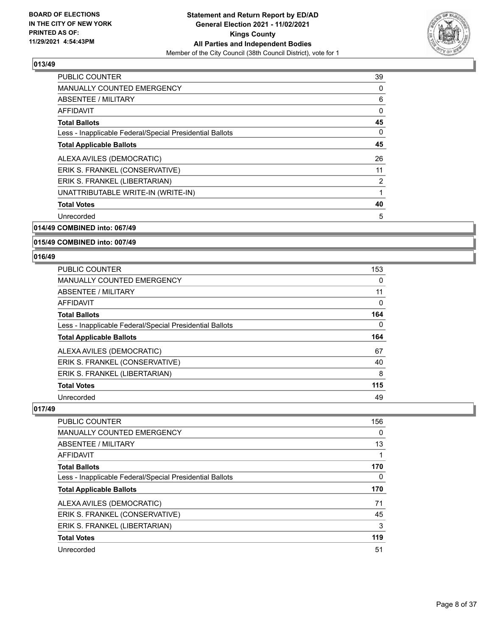

| PUBLIC COUNTER                                           | 39 |
|----------------------------------------------------------|----|
| <b>MANUALLY COUNTED EMERGENCY</b>                        | 0  |
| ABSENTEE / MILITARY                                      | 6  |
| <b>AFFIDAVIT</b>                                         | 0  |
| <b>Total Ballots</b>                                     | 45 |
| Less - Inapplicable Federal/Special Presidential Ballots | 0  |
| <b>Total Applicable Ballots</b>                          | 45 |
| ALEXA AVILES (DEMOCRATIC)                                | 26 |
| ERIK S. FRANKEL (CONSERVATIVE)                           | 11 |
| ERIK S. FRANKEL (LIBERTARIAN)                            | 2  |
| UNATTRIBUTABLE WRITE-IN (WRITE-IN)                       | 1  |
| <b>Total Votes</b>                                       | 40 |
| Unrecorded                                               | 5  |
|                                                          |    |

## **014/49 COMBINED into: 067/49**

#### **015/49 COMBINED into: 007/49**

#### **016/49**

| <b>PUBLIC COUNTER</b>                                    | 153 |
|----------------------------------------------------------|-----|
| MANUALLY COUNTED EMERGENCY                               | 0   |
| ABSENTEE / MILITARY                                      | 11  |
| AFFIDAVIT                                                | 0   |
| <b>Total Ballots</b>                                     | 164 |
| Less - Inapplicable Federal/Special Presidential Ballots | 0   |
| <b>Total Applicable Ballots</b>                          | 164 |
| ALEXA AVILES (DEMOCRATIC)                                | 67  |
| ERIK S. FRANKEL (CONSERVATIVE)                           | 40  |
| ERIK S. FRANKEL (LIBERTARIAN)                            | 8   |
| <b>Total Votes</b>                                       | 115 |
| Unrecorded                                               | 49  |

| <b>PUBLIC COUNTER</b>                                    | 156 |
|----------------------------------------------------------|-----|
| <b>MANUALLY COUNTED EMERGENCY</b>                        | 0   |
| ABSENTEE / MILITARY                                      | 13  |
| AFFIDAVIT                                                |     |
| <b>Total Ballots</b>                                     | 170 |
| Less - Inapplicable Federal/Special Presidential Ballots | 0   |
| <b>Total Applicable Ballots</b>                          | 170 |
| ALEXA AVILES (DEMOCRATIC)                                | 71  |
| ERIK S. FRANKEL (CONSERVATIVE)                           | 45  |
| ERIK S. FRANKEL (LIBERTARIAN)                            | 3   |
| <b>Total Votes</b>                                       | 119 |
| Unrecorded                                               | 51  |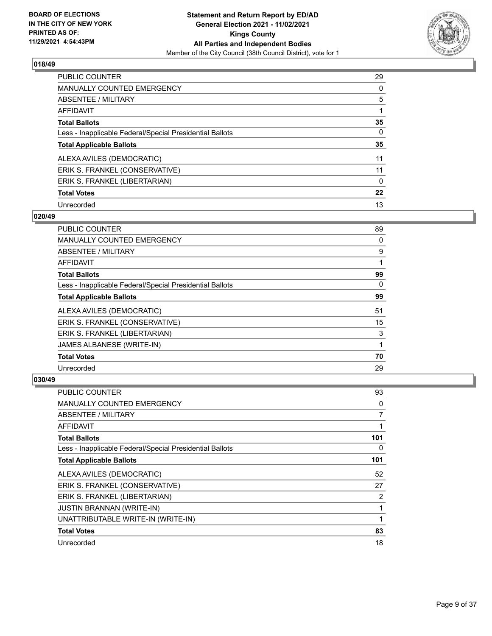

| <b>PUBLIC COUNTER</b>                                    | 29       |
|----------------------------------------------------------|----------|
| MANUALLY COUNTED EMERGENCY                               | 0        |
| ABSENTEE / MILITARY                                      | 5        |
| AFFIDAVIT                                                |          |
| <b>Total Ballots</b>                                     | 35       |
| Less - Inapplicable Federal/Special Presidential Ballots | 0        |
| <b>Total Applicable Ballots</b>                          | 35       |
| ALEXA AVILES (DEMOCRATIC)                                | 11       |
| ERIK S. FRANKEL (CONSERVATIVE)                           | 11       |
| ERIK S. FRANKEL (LIBERTARIAN)                            | $\Omega$ |
| <b>Total Votes</b>                                       | 22       |
| Unrecorded                                               | 13       |

#### **020/49**

| PUBLIC COUNTER                                           | 89       |
|----------------------------------------------------------|----------|
| <b>MANUALLY COUNTED EMERGENCY</b>                        | 0        |
| ABSENTEE / MILITARY                                      | 9        |
| AFFIDAVIT                                                |          |
| <b>Total Ballots</b>                                     | 99       |
| Less - Inapplicable Federal/Special Presidential Ballots | $\Omega$ |
| <b>Total Applicable Ballots</b>                          | 99       |
| ALEXA AVILES (DEMOCRATIC)                                | 51       |
| ERIK S. FRANKEL (CONSERVATIVE)                           | 15       |
| ERIK S. FRANKEL (LIBERTARIAN)                            | 3        |
| JAMES ALBANESE (WRITE-IN)                                | 1        |
| <b>Total Votes</b>                                       | 70       |
| Unrecorded                                               | 29       |

| PUBLIC COUNTER                                           | 93  |
|----------------------------------------------------------|-----|
| MANUALLY COUNTED EMERGENCY                               | 0   |
| ABSENTEE / MILITARY                                      | 7   |
| AFFIDAVIT                                                | 1   |
| <b>Total Ballots</b>                                     | 101 |
| Less - Inapplicable Federal/Special Presidential Ballots | 0   |
| <b>Total Applicable Ballots</b>                          | 101 |
| ALEXA AVILES (DEMOCRATIC)                                | 52  |
| ERIK S. FRANKEL (CONSERVATIVE)                           | 27  |
| ERIK S. FRANKEL (LIBERTARIAN)                            | 2   |
| JUSTIN BRANNAN (WRITE-IN)                                |     |
| UNATTRIBUTABLE WRITE-IN (WRITE-IN)                       |     |
| <b>Total Votes</b>                                       | 83  |
| Unrecorded                                               | 18  |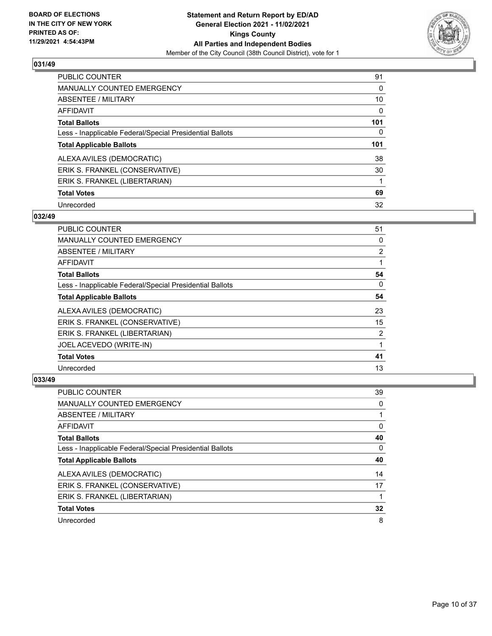

| <b>PUBLIC COUNTER</b>                                    | 91       |
|----------------------------------------------------------|----------|
| <b>MANUALLY COUNTED EMERGENCY</b>                        | $\Omega$ |
| ABSENTEE / MILITARY                                      | 10       |
| AFFIDAVIT                                                | $\Omega$ |
| <b>Total Ballots</b>                                     | 101      |
| Less - Inapplicable Federal/Special Presidential Ballots | 0        |
| <b>Total Applicable Ballots</b>                          | 101      |
| ALEXA AVILES (DEMOCRATIC)                                | 38       |
| ERIK S. FRANKEL (CONSERVATIVE)                           | 30       |
| ERIK S. FRANKEL (LIBERTARIAN)                            |          |
| <b>Total Votes</b>                                       | 69       |
| Unrecorded                                               | 32       |

#### **032/49**

| <b>PUBLIC COUNTER</b>                                    | 51             |
|----------------------------------------------------------|----------------|
| MANUALLY COUNTED EMERGENCY                               | 0              |
| ABSENTEE / MILITARY                                      | $\overline{2}$ |
| AFFIDAVIT                                                |                |
| <b>Total Ballots</b>                                     | 54             |
| Less - Inapplicable Federal/Special Presidential Ballots | 0              |
| <b>Total Applicable Ballots</b>                          | 54             |
| ALEXA AVILES (DEMOCRATIC)                                | 23             |
| ERIK S. FRANKEL (CONSERVATIVE)                           | 15             |
| ERIK S. FRANKEL (LIBERTARIAN)                            | 2              |
| JOEL ACEVEDO (WRITE-IN)                                  |                |
| <b>Total Votes</b>                                       | 41             |
| Unrecorded                                               | 13             |

| PUBLIC COUNTER                                           | 39 |
|----------------------------------------------------------|----|
| <b>MANUALLY COUNTED EMERGENCY</b>                        | 0  |
| ABSENTEE / MILITARY                                      |    |
| AFFIDAVIT                                                | 0  |
| <b>Total Ballots</b>                                     | 40 |
| Less - Inapplicable Federal/Special Presidential Ballots | 0  |
|                                                          |    |
| <b>Total Applicable Ballots</b>                          | 40 |
| ALEXA AVILES (DEMOCRATIC)                                | 14 |
| ERIK S. FRANKEL (CONSERVATIVE)                           | 17 |
| ERIK S. FRANKEL (LIBERTARIAN)                            |    |
| <b>Total Votes</b>                                       | 32 |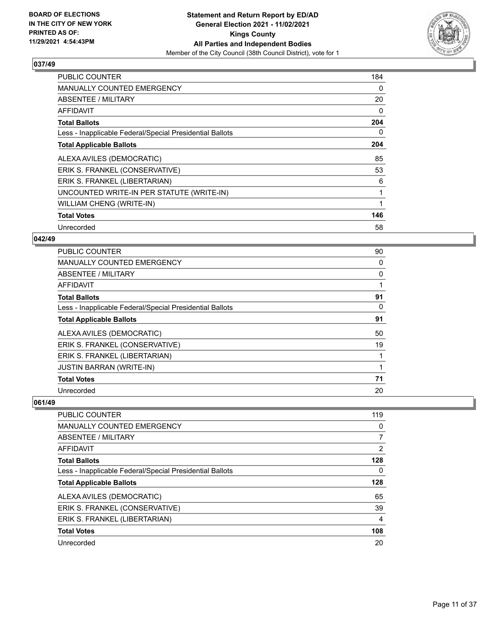

| <b>PUBLIC COUNTER</b>                                    | 184 |
|----------------------------------------------------------|-----|
| <b>MANUALLY COUNTED EMERGENCY</b>                        | 0   |
| <b>ABSENTEE / MILITARY</b>                               | 20  |
| <b>AFFIDAVIT</b>                                         | 0   |
| <b>Total Ballots</b>                                     | 204 |
| Less - Inapplicable Federal/Special Presidential Ballots | 0   |
| <b>Total Applicable Ballots</b>                          | 204 |
| ALEXA AVILES (DEMOCRATIC)                                | 85  |
| ERIK S. FRANKEL (CONSERVATIVE)                           | 53  |
| ERIK S. FRANKEL (LIBERTARIAN)                            | 6   |
| UNCOUNTED WRITE-IN PER STATUTE (WRITE-IN)                |     |
| <b>WILLIAM CHENG (WRITE-IN)</b>                          |     |
| <b>Total Votes</b>                                       | 146 |
| Unrecorded                                               | 58  |

#### **042/49**

| PUBLIC COUNTER                                           | 90 |
|----------------------------------------------------------|----|
| MANUALLY COUNTED EMERGENCY                               | 0  |
| ABSENTEE / MILITARY                                      | 0  |
| AFFIDAVIT                                                |    |
| <b>Total Ballots</b>                                     | 91 |
| Less - Inapplicable Federal/Special Presidential Ballots | 0  |
| <b>Total Applicable Ballots</b>                          | 91 |
| ALEXA AVILES (DEMOCRATIC)                                | 50 |
| ERIK S. FRANKEL (CONSERVATIVE)                           | 19 |
| ERIK S. FRANKEL (LIBERTARIAN)                            |    |
| JUSTIN BARRAN (WRITE-IN)                                 | 1  |
| <b>Total Votes</b>                                       | 71 |
| Unrecorded                                               | 20 |

| PUBLIC COUNTER                                           | 119 |
|----------------------------------------------------------|-----|
| <b>MANUALLY COUNTED EMERGENCY</b>                        | 0   |
| ABSENTEE / MILITARY                                      | 7   |
| AFFIDAVIT                                                | 2   |
| <b>Total Ballots</b>                                     | 128 |
| Less - Inapplicable Federal/Special Presidential Ballots | 0   |
| <b>Total Applicable Ballots</b>                          | 128 |
| ALEXA AVILES (DEMOCRATIC)                                | 65  |
| ERIK S. FRANKEL (CONSERVATIVE)                           | 39  |
| ERIK S. FRANKEL (LIBERTARIAN)                            | 4   |
| <b>Total Votes</b>                                       | 108 |
| Unrecorded                                               | 20  |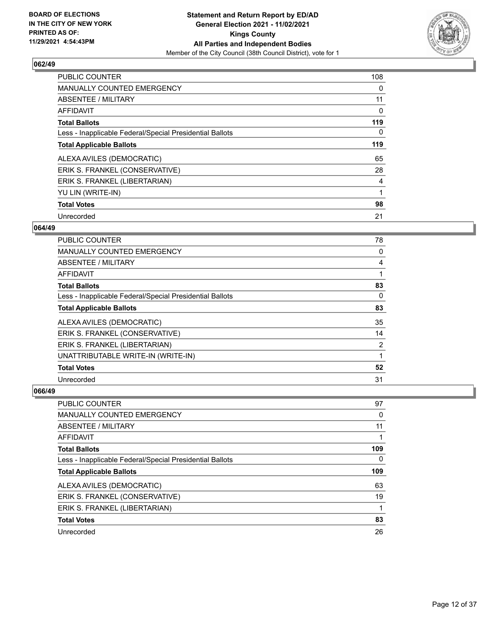

| <b>PUBLIC COUNTER</b>                                    | 108 |
|----------------------------------------------------------|-----|
| <b>MANUALLY COUNTED EMERGENCY</b>                        | 0   |
| ABSENTEE / MILITARY                                      | 11  |
| AFFIDAVIT                                                | 0   |
| <b>Total Ballots</b>                                     | 119 |
| Less - Inapplicable Federal/Special Presidential Ballots | 0   |
| <b>Total Applicable Ballots</b>                          | 119 |
| ALEXA AVILES (DEMOCRATIC)                                | 65  |
| ERIK S. FRANKEL (CONSERVATIVE)                           | 28  |
| ERIK S. FRANKEL (LIBERTARIAN)                            | 4   |
| YU LIN (WRITE-IN)                                        |     |
| <b>Total Votes</b>                                       | 98  |
| Unrecorded                                               | 21  |

#### **064/49**

| PUBLIC COUNTER                                           | 78 |
|----------------------------------------------------------|----|
| MANUALLY COUNTED EMERGENCY                               | 0  |
| ABSENTEE / MILITARY                                      | 4  |
| AFFIDAVIT                                                |    |
| <b>Total Ballots</b>                                     | 83 |
| Less - Inapplicable Federal/Special Presidential Ballots | 0  |
| <b>Total Applicable Ballots</b>                          | 83 |
| ALEXA AVILES (DEMOCRATIC)                                | 35 |
| ERIK S. FRANKEL (CONSERVATIVE)                           | 14 |
| ERIK S. FRANKEL (LIBERTARIAN)                            | 2  |
| UNATTRIBUTABLE WRITE-IN (WRITE-IN)                       | 1  |
| <b>Total Votes</b>                                       | 52 |
| Unrecorded                                               | 31 |

| <b>PUBLIC COUNTER</b>                                    | 97  |
|----------------------------------------------------------|-----|
| MANUALLY COUNTED EMERGENCY                               | 0   |
| ABSENTEE / MILITARY                                      | 11  |
| AFFIDAVIT                                                |     |
| <b>Total Ballots</b>                                     | 109 |
| Less - Inapplicable Federal/Special Presidential Ballots | 0   |
|                                                          |     |
| <b>Total Applicable Ballots</b>                          | 109 |
| ALEXA AVILES (DEMOCRATIC)                                | 63  |
| ERIK S. FRANKEL (CONSERVATIVE)                           | 19  |
| ERIK S. FRANKEL (LIBERTARIAN)                            | 1   |
| <b>Total Votes</b>                                       | 83  |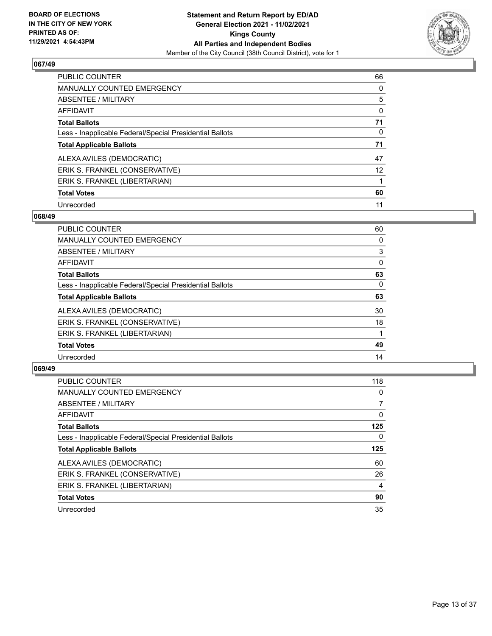

| <b>PUBLIC COUNTER</b>                                    | 66                |
|----------------------------------------------------------|-------------------|
| <b>MANUALLY COUNTED EMERGENCY</b>                        | $\Omega$          |
| ABSENTEE / MILITARY                                      | 5                 |
| AFFIDAVIT                                                | $\Omega$          |
| <b>Total Ballots</b>                                     | 71                |
| Less - Inapplicable Federal/Special Presidential Ballots | $\Omega$          |
| <b>Total Applicable Ballots</b>                          | 71                |
| ALEXA AVILES (DEMOCRATIC)                                | 47                |
| ERIK S. FRANKEL (CONSERVATIVE)                           | $12 \overline{ }$ |
| ERIK S. FRANKEL (LIBERTARIAN)                            |                   |
| <b>Total Votes</b>                                       | 60                |
| Unrecorded                                               | 11                |

#### **068/49**

| <b>PUBLIC COUNTER</b>                                    | 60       |
|----------------------------------------------------------|----------|
| <b>MANUALLY COUNTED EMERGENCY</b>                        | 0        |
| ABSENTEE / MILITARY                                      | 3        |
| <b>AFFIDAVIT</b>                                         | $\Omega$ |
| <b>Total Ballots</b>                                     | 63       |
| Less - Inapplicable Federal/Special Presidential Ballots | 0        |
| <b>Total Applicable Ballots</b>                          | 63       |
| ALEXA AVILES (DEMOCRATIC)                                | 30       |
| ERIK S. FRANKEL (CONSERVATIVE)                           | 18       |
| ERIK S. FRANKEL (LIBERTARIAN)                            |          |
| <b>Total Votes</b>                                       | 49       |
| Unrecorded                                               | 14       |

| <b>PUBLIC COUNTER</b>                                    | 118 |
|----------------------------------------------------------|-----|
| <b>MANUALLY COUNTED EMERGENCY</b>                        | 0   |
| ABSENTEE / MILITARY                                      |     |
| <b>AFFIDAVIT</b>                                         | 0   |
| <b>Total Ballots</b>                                     | 125 |
| Less - Inapplicable Federal/Special Presidential Ballots | 0   |
| <b>Total Applicable Ballots</b>                          | 125 |
| ALEXA AVILES (DEMOCRATIC)                                | 60  |
| ERIK S. FRANKEL (CONSERVATIVE)                           | 26  |
| ERIK S. FRANKEL (LIBERTARIAN)                            | 4   |
| <b>Total Votes</b>                                       | 90  |
| Unrecorded                                               | 35  |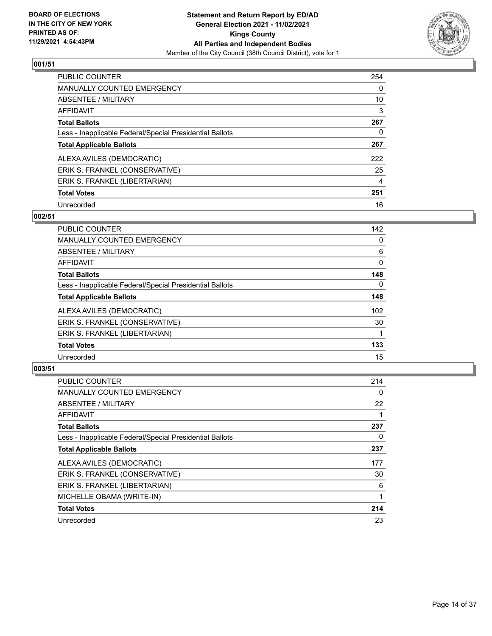

| PUBLIC COUNTER                                           | 254 |
|----------------------------------------------------------|-----|
| <b>MANUALLY COUNTED EMERGENCY</b>                        | 0   |
| ABSENTEE / MILITARY                                      | 10  |
| AFFIDAVIT                                                | 3   |
| <b>Total Ballots</b>                                     | 267 |
| Less - Inapplicable Federal/Special Presidential Ballots | 0   |
| <b>Total Applicable Ballots</b>                          | 267 |
| ALEXA AVILES (DEMOCRATIC)                                | 222 |
| ERIK S. FRANKEL (CONSERVATIVE)                           | 25  |
| ERIK S. FRANKEL (LIBERTARIAN)                            | 4   |
| <b>Total Votes</b>                                       | 251 |
| Unrecorded                                               | 16  |

#### **002/51**

| <b>PUBLIC COUNTER</b>                                    | 142      |
|----------------------------------------------------------|----------|
| MANUALLY COUNTED EMERGENCY                               | 0        |
| ABSENTEE / MILITARY                                      | 6        |
| <b>AFFIDAVIT</b>                                         | $\Omega$ |
| <b>Total Ballots</b>                                     | 148      |
| Less - Inapplicable Federal/Special Presidential Ballots | $\Omega$ |
| <b>Total Applicable Ballots</b>                          | 148      |
| ALEXA AVILES (DEMOCRATIC)                                | 102      |
| ERIK S. FRANKEL (CONSERVATIVE)                           | 30       |
| ERIK S. FRANKEL (LIBERTARIAN)                            |          |
| <b>Total Votes</b>                                       | 133      |
| Unrecorded                                               | 15       |

| <b>PUBLIC COUNTER</b>                                    | 214      |
|----------------------------------------------------------|----------|
| <b>MANUALLY COUNTED EMERGENCY</b>                        | $\Omega$ |
| ABSENTEE / MILITARY                                      | 22       |
| AFFIDAVIT                                                |          |
| <b>Total Ballots</b>                                     | 237      |
| Less - Inapplicable Federal/Special Presidential Ballots | 0        |
| <b>Total Applicable Ballots</b>                          | 237      |
| ALEXA AVILES (DEMOCRATIC)                                | 177      |
| ERIK S. FRANKEL (CONSERVATIVE)                           | 30       |
| ERIK S. FRANKEL (LIBERTARIAN)                            | 6        |
| MICHELLE OBAMA (WRITE-IN)                                |          |
| <b>Total Votes</b>                                       | 214      |
| Unrecorded                                               | 23       |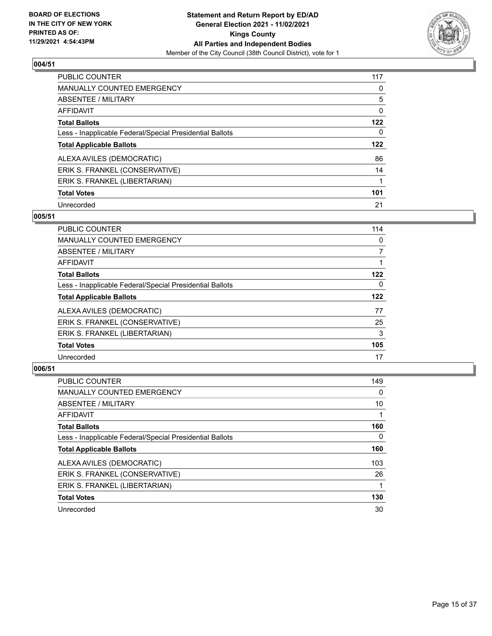

| <b>PUBLIC COUNTER</b>                                    | 117 |
|----------------------------------------------------------|-----|
| <b>MANUALLY COUNTED EMERGENCY</b>                        | 0   |
| ABSENTEE / MILITARY                                      | 5   |
| AFFIDAVIT                                                | 0   |
| <b>Total Ballots</b>                                     | 122 |
| Less - Inapplicable Federal/Special Presidential Ballots | 0   |
| <b>Total Applicable Ballots</b>                          | 122 |
| ALEXA AVILES (DEMOCRATIC)                                | 86  |
| ERIK S. FRANKEL (CONSERVATIVE)                           | 14  |
| ERIK S. FRANKEL (LIBERTARIAN)                            |     |
|                                                          |     |
| <b>Total Votes</b>                                       | 101 |

#### **005/51**

| <b>PUBLIC COUNTER</b>                                    | 114      |
|----------------------------------------------------------|----------|
| <b>MANUALLY COUNTED EMERGENCY</b>                        | 0        |
| ABSENTEE / MILITARY                                      | 7        |
| <b>AFFIDAVIT</b>                                         |          |
| <b>Total Ballots</b>                                     | 122      |
| Less - Inapplicable Federal/Special Presidential Ballots | $\Omega$ |
| <b>Total Applicable Ballots</b>                          | 122      |
| ALEXA AVILES (DEMOCRATIC)                                | 77       |
| ERIK S. FRANKEL (CONSERVATIVE)                           | 25       |
| ERIK S. FRANKEL (LIBERTARIAN)                            | 3        |
| <b>Total Votes</b>                                       | 105      |
| Unrecorded                                               | 17       |

| <b>PUBLIC COUNTER</b>                                    | 149      |
|----------------------------------------------------------|----------|
| <b>MANUALLY COUNTED EMERGENCY</b>                        | $\Omega$ |
| ABSENTEE / MILITARY                                      | 10       |
| AFFIDAVIT                                                |          |
| <b>Total Ballots</b>                                     | 160      |
| Less - Inapplicable Federal/Special Presidential Ballots | 0        |
| <b>Total Applicable Ballots</b>                          | 160      |
| ALEXA AVILES (DEMOCRATIC)                                | 103      |
| ERIK S. FRANKEL (CONSERVATIVE)                           | 26       |
| ERIK S. FRANKEL (LIBERTARIAN)                            |          |
| <b>Total Votes</b>                                       | 130      |
| Unrecorded                                               | 30       |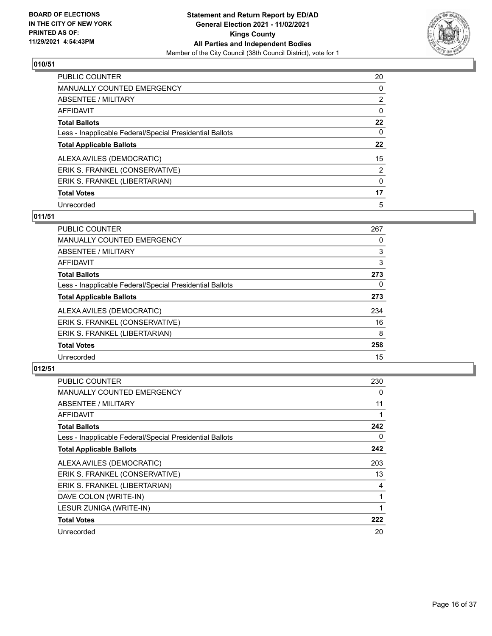

| PUBLIC COUNTER                                           | 20             |
|----------------------------------------------------------|----------------|
| MANUALLY COUNTED EMERGENCY                               | $\Omega$       |
| ABSENTEE / MILITARY                                      | $\overline{2}$ |
| AFFIDAVIT                                                | 0              |
| <b>Total Ballots</b>                                     | 22             |
| Less - Inapplicable Federal/Special Presidential Ballots | 0              |
| <b>Total Applicable Ballots</b>                          | 22             |
| ALEXA AVILES (DEMOCRATIC)                                | 15             |
| ERIK S. FRANKEL (CONSERVATIVE)                           | $\overline{2}$ |
| ERIK S. FRANKEL (LIBERTARIAN)                            | $\Omega$       |
| <b>Total Votes</b>                                       | 17             |
| Unrecorded                                               | 5              |

## **011/51**

| <b>PUBLIC COUNTER</b>                                    | 267      |
|----------------------------------------------------------|----------|
| <b>MANUALLY COUNTED EMERGENCY</b>                        | 0        |
| ABSENTEE / MILITARY                                      | 3        |
| <b>AFFIDAVIT</b>                                         | 3        |
| <b>Total Ballots</b>                                     | 273      |
| Less - Inapplicable Federal/Special Presidential Ballots | $\Omega$ |
| <b>Total Applicable Ballots</b>                          | 273      |
| ALEXA AVILES (DEMOCRATIC)                                | 234      |
| ERIK S. FRANKEL (CONSERVATIVE)                           | 16       |
| ERIK S. FRANKEL (LIBERTARIAN)                            | 8        |
| <b>Total Votes</b>                                       | 258      |
| Unrecorded                                               | 15       |

| <b>PUBLIC COUNTER</b>                                    | 230 |
|----------------------------------------------------------|-----|
| MANUALLY COUNTED EMERGENCY                               | 0   |
| ABSENTEE / MILITARY                                      | 11  |
| AFFIDAVIT                                                |     |
| <b>Total Ballots</b>                                     | 242 |
| Less - Inapplicable Federal/Special Presidential Ballots | 0   |
| <b>Total Applicable Ballots</b>                          | 242 |
| ALEXA AVILES (DEMOCRATIC)                                | 203 |
| ERIK S. FRANKEL (CONSERVATIVE)                           | 13  |
| ERIK S. FRANKEL (LIBERTARIAN)                            | 4   |
| DAVE COLON (WRITE-IN)                                    |     |
| LESUR ZUNIGA (WRITE-IN)                                  |     |
| <b>Total Votes</b>                                       | 222 |
| Unrecorded                                               | 20  |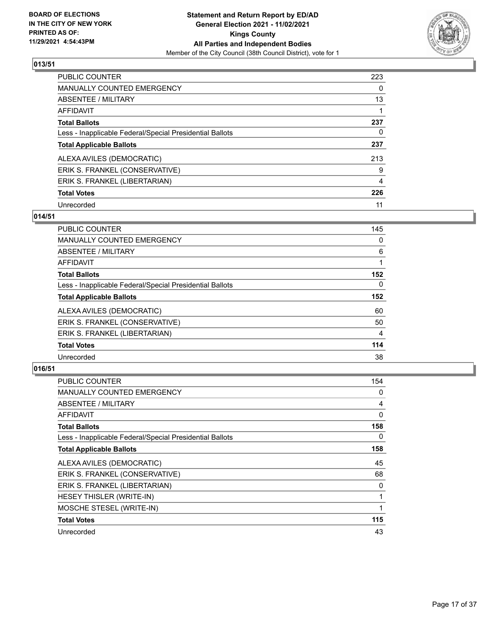

| PUBLIC COUNTER                                           | 223 |
|----------------------------------------------------------|-----|
| <b>MANUALLY COUNTED EMERGENCY</b>                        | 0   |
| ABSENTEE / MILITARY                                      | 13  |
| AFFIDAVIT                                                |     |
| <b>Total Ballots</b>                                     | 237 |
| Less - Inapplicable Federal/Special Presidential Ballots | 0   |
| <b>Total Applicable Ballots</b>                          | 237 |
| ALEXA AVILES (DEMOCRATIC)                                | 213 |
| ERIK S. FRANKEL (CONSERVATIVE)                           | 9   |
| ERIK S. FRANKEL (LIBERTARIAN)                            | 4   |
| <b>Total Votes</b>                                       | 226 |
| Unrecorded                                               | 11  |

#### **014/51**

| <b>PUBLIC COUNTER</b>                                    | 145            |
|----------------------------------------------------------|----------------|
| MANUALLY COUNTED EMERGENCY                               | 0              |
| ABSENTEE / MILITARY                                      | 6              |
| <b>AFFIDAVIT</b>                                         |                |
| <b>Total Ballots</b>                                     | 152            |
| Less - Inapplicable Federal/Special Presidential Ballots | $\Omega$       |
| <b>Total Applicable Ballots</b>                          | 152            |
| ALEXA AVILES (DEMOCRATIC)                                | 60             |
| ERIK S. FRANKEL (CONSERVATIVE)                           | 50             |
| ERIK S. FRANKEL (LIBERTARIAN)                            | $\overline{4}$ |
| <b>Total Votes</b>                                       | 114            |
| Unrecorded                                               | 38             |

| <b>PUBLIC COUNTER</b>                                    | 154 |
|----------------------------------------------------------|-----|
| MANUALLY COUNTED EMERGENCY                               | 0   |
| ABSENTEE / MILITARY                                      | 4   |
| AFFIDAVIT                                                | 0   |
| <b>Total Ballots</b>                                     | 158 |
| Less - Inapplicable Federal/Special Presidential Ballots | 0   |
| <b>Total Applicable Ballots</b>                          | 158 |
| ALEXA AVILES (DEMOCRATIC)                                | 45  |
| ERIK S. FRANKEL (CONSERVATIVE)                           | 68  |
| ERIK S. FRANKEL (LIBERTARIAN)                            | 0   |
| <b>HESEY THISLER (WRITE-IN)</b>                          | 1   |
| MOSCHE STESEL (WRITE-IN)                                 | 1   |
| <b>Total Votes</b>                                       | 115 |
| Unrecorded                                               | 43  |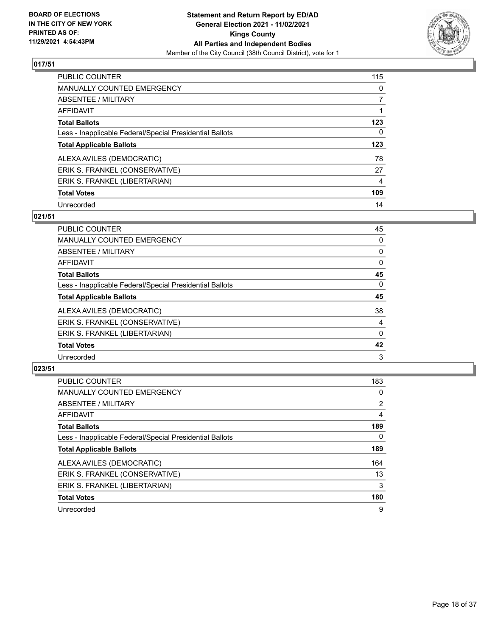

| <b>PUBLIC COUNTER</b>                                    | 115      |
|----------------------------------------------------------|----------|
| <b>MANUALLY COUNTED EMERGENCY</b>                        | 0        |
| ABSENTEE / MILITARY                                      | 7        |
| AFFIDAVIT                                                |          |
| <b>Total Ballots</b>                                     | 123      |
| Less - Inapplicable Federal/Special Presidential Ballots | $\Omega$ |
| <b>Total Applicable Ballots</b>                          | 123      |
| ALEXA AVILES (DEMOCRATIC)                                | 78       |
| ERIK S. FRANKEL (CONSERVATIVE)                           | 27       |
| ERIK S. FRANKEL (LIBERTARIAN)                            | 4        |
| <b>Total Votes</b>                                       | 109      |
| Unrecorded                                               | 14       |

#### **021/51**

| <b>PUBLIC COUNTER</b>                                    | 45       |
|----------------------------------------------------------|----------|
| MANUALLY COUNTED EMERGENCY                               | 0        |
| ABSENTEE / MILITARY                                      | 0        |
| <b>AFFIDAVIT</b>                                         | $\Omega$ |
| <b>Total Ballots</b>                                     | 45       |
| Less - Inapplicable Federal/Special Presidential Ballots | $\Omega$ |
| <b>Total Applicable Ballots</b>                          | 45       |
| ALEXA AVILES (DEMOCRATIC)                                | 38       |
| ERIK S. FRANKEL (CONSERVATIVE)                           | 4        |
| ERIK S. FRANKEL (LIBERTARIAN)                            | 0        |
| <b>Total Votes</b>                                       | 42       |
| Unrecorded                                               | 3        |

| PUBLIC COUNTER                                           | 183            |
|----------------------------------------------------------|----------------|
| <b>MANUALLY COUNTED EMERGENCY</b>                        | 0              |
| ABSENTEE / MILITARY                                      | $\overline{2}$ |
| <b>AFFIDAVIT</b>                                         | 4              |
| <b>Total Ballots</b>                                     | 189            |
| Less - Inapplicable Federal/Special Presidential Ballots | $\Omega$       |
| <b>Total Applicable Ballots</b>                          | 189            |
| ALEXA AVILES (DEMOCRATIC)                                | 164            |
| ERIK S. FRANKEL (CONSERVATIVE)                           | 13             |
| ERIK S. FRANKEL (LIBERTARIAN)                            | 3              |
| <b>Total Votes</b>                                       | 180            |
| Unrecorded                                               | 9              |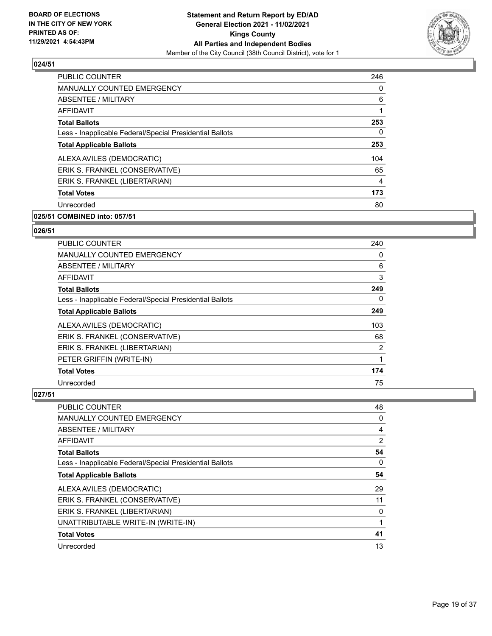

| <b>PUBLIC COUNTER</b>                                    | 246 |
|----------------------------------------------------------|-----|
| <b>MANUALLY COUNTED EMERGENCY</b>                        | 0   |
| ABSENTEE / MILITARY                                      | 6   |
| <b>AFFIDAVIT</b>                                         |     |
| <b>Total Ballots</b>                                     | 253 |
| Less - Inapplicable Federal/Special Presidential Ballots | 0   |
| <b>Total Applicable Ballots</b>                          | 253 |
| ALEXA AVILES (DEMOCRATIC)                                | 104 |
| ERIK S. FRANKEL (CONSERVATIVE)                           | 65  |
| ERIK S. FRANKEL (LIBERTARIAN)                            | 4   |
| <b>Total Votes</b>                                       | 173 |
| Unrecorded                                               | 80  |

## **025/51 COMBINED into: 057/51**

#### **026/51**

| <b>PUBLIC COUNTER</b>                                    | 240 |
|----------------------------------------------------------|-----|
| <b>MANUALLY COUNTED EMERGENCY</b>                        | 0   |
| ABSENTEE / MILITARY                                      | 6   |
| AFFIDAVIT                                                | 3   |
| <b>Total Ballots</b>                                     | 249 |
| Less - Inapplicable Federal/Special Presidential Ballots | 0   |
| <b>Total Applicable Ballots</b>                          | 249 |
| ALEXA AVILES (DEMOCRATIC)                                | 103 |
| ERIK S. FRANKEL (CONSERVATIVE)                           | 68  |
| ERIK S. FRANKEL (LIBERTARIAN)                            | 2   |
| PETER GRIFFIN (WRITE-IN)                                 | 1   |
| <b>Total Votes</b>                                       | 174 |
| Unrecorded                                               | 75  |

| PUBLIC COUNTER                                           | 48       |
|----------------------------------------------------------|----------|
| MANUALLY COUNTED EMERGENCY                               | 0        |
| ABSENTEE / MILITARY                                      | 4        |
| AFFIDAVIT                                                | 2        |
| <b>Total Ballots</b>                                     | 54       |
| Less - Inapplicable Federal/Special Presidential Ballots | $\Omega$ |
| <b>Total Applicable Ballots</b>                          | 54       |
| ALEXA AVILES (DEMOCRATIC)                                | 29       |
| ERIK S. FRANKEL (CONSERVATIVE)                           | 11       |
| ERIK S. FRANKEL (LIBERTARIAN)                            | 0        |
| UNATTRIBUTABLE WRITE-IN (WRITE-IN)                       |          |
| <b>Total Votes</b>                                       | 41       |
| Unrecorded                                               | 13       |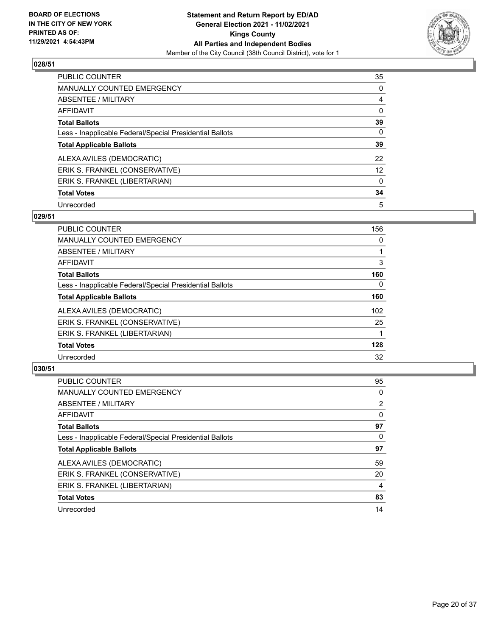

| PUBLIC COUNTER                                           | 35              |
|----------------------------------------------------------|-----------------|
| <b>MANUALLY COUNTED EMERGENCY</b>                        | 0               |
| ABSENTEE / MILITARY                                      | $\overline{4}$  |
| <b>AFFIDAVIT</b>                                         | $\Omega$        |
| <b>Total Ballots</b>                                     | 39              |
| Less - Inapplicable Federal/Special Presidential Ballots | $\Omega$        |
| <b>Total Applicable Ballots</b>                          | 39              |
| ALEXA AVILES (DEMOCRATIC)                                | 22              |
| ERIK S. FRANKEL (CONSERVATIVE)                           | 12 <sup>2</sup> |
| ERIK S. FRANKEL (LIBERTARIAN)                            | $\Omega$        |
| <b>Total Votes</b>                                       | 34              |
| Unrecorded                                               | 5               |

#### **029/51**

| PUBLIC COUNTER                                           | 156              |
|----------------------------------------------------------|------------------|
| MANUALLY COUNTED EMERGENCY                               | $\Omega$         |
| ABSENTEE / MILITARY                                      |                  |
| <b>AFFIDAVIT</b>                                         | 3                |
| <b>Total Ballots</b>                                     | 160              |
| Less - Inapplicable Federal/Special Presidential Ballots | $\Omega$         |
| <b>Total Applicable Ballots</b>                          | 160              |
| ALEXA AVILES (DEMOCRATIC)                                | 102 <sub>2</sub> |
| ERIK S. FRANKEL (CONSERVATIVE)                           | 25               |
| ERIK S. FRANKEL (LIBERTARIAN)                            |                  |
| <b>Total Votes</b>                                       | 128              |
| Unrecorded                                               | 32               |

| <b>PUBLIC COUNTER</b>                                    | 95             |
|----------------------------------------------------------|----------------|
| <b>MANUALLY COUNTED EMERGENCY</b>                        | 0              |
| ABSENTEE / MILITARY                                      | $\overline{2}$ |
| AFFIDAVIT                                                | $\Omega$       |
| <b>Total Ballots</b>                                     | 97             |
| Less - Inapplicable Federal/Special Presidential Ballots | 0              |
| <b>Total Applicable Ballots</b>                          | 97             |
| ALEXA AVILES (DEMOCRATIC)                                | 59             |
| ERIK S. FRANKEL (CONSERVATIVE)                           | 20             |
| ERIK S. FRANKEL (LIBERTARIAN)                            | 4              |
| <b>Total Votes</b>                                       | 83             |
| Unrecorded                                               | 14             |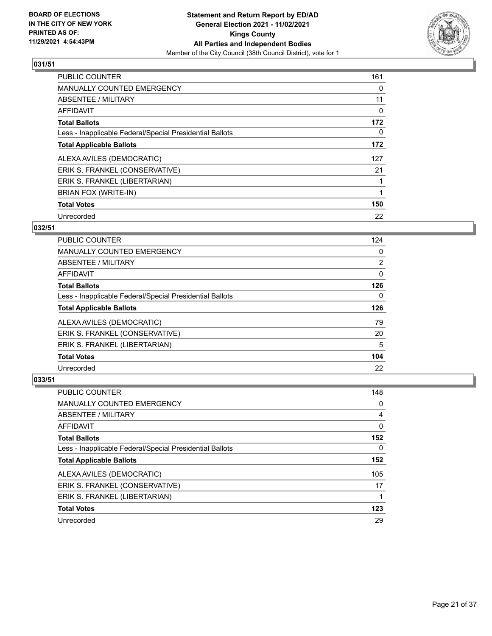

| <b>PUBLIC COUNTER</b>                                    | 161 |
|----------------------------------------------------------|-----|
| MANUALLY COUNTED EMERGENCY                               | 0   |
| ABSENTEE / MILITARY                                      | 11  |
| <b>AFFIDAVIT</b>                                         | 0   |
| <b>Total Ballots</b>                                     | 172 |
| Less - Inapplicable Federal/Special Presidential Ballots | 0   |
| <b>Total Applicable Ballots</b>                          | 172 |
| ALEXA AVILES (DEMOCRATIC)                                | 127 |
| ERIK S. FRANKEL (CONSERVATIVE)                           | 21  |
| ERIK S. FRANKEL (LIBERTARIAN)                            |     |
| BRIAN FOX (WRITE-IN)                                     |     |
| <b>Total Votes</b>                                       | 150 |
| Unrecorded                                               | 22  |

#### **032/51**

| <b>PUBLIC COUNTER</b>                                    | 124            |
|----------------------------------------------------------|----------------|
| <b>MANUALLY COUNTED EMERGENCY</b>                        | 0              |
| ABSENTEE / MILITARY                                      | $\overline{2}$ |
| AFFIDAVIT                                                | 0              |
| <b>Total Ballots</b>                                     | 126            |
| Less - Inapplicable Federal/Special Presidential Ballots | 0              |
| <b>Total Applicable Ballots</b>                          | 126            |
| ALEXA AVILES (DEMOCRATIC)                                | 79             |
| ERIK S. FRANKEL (CONSERVATIVE)                           | 20             |
| ERIK S. FRANKEL (LIBERTARIAN)                            | 5              |
| <b>Total Votes</b>                                       | 104            |
| Unrecorded                                               | 22             |

| <b>PUBLIC COUNTER</b>                                    | 148      |
|----------------------------------------------------------|----------|
| <b>MANUALLY COUNTED EMERGENCY</b>                        | 0        |
| ABSENTEE / MILITARY                                      | 4        |
| AFFIDAVIT                                                | 0        |
| <b>Total Ballots</b>                                     | 152      |
| Less - Inapplicable Federal/Special Presidential Ballots | $\Omega$ |
| <b>Total Applicable Ballots</b>                          | 152      |
| ALEXA AVILES (DEMOCRATIC)                                | 105      |
| ERIK S. FRANKEL (CONSERVATIVE)                           | 17       |
| ERIK S. FRANKEL (LIBERTARIAN)                            |          |
| <b>Total Votes</b>                                       | 123      |
| Unrecorded                                               | 29       |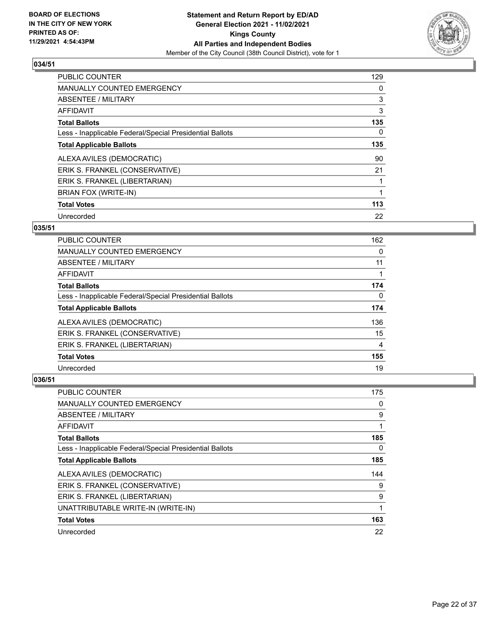

| <b>PUBLIC COUNTER</b>                                    | 129 |
|----------------------------------------------------------|-----|
| MANUALLY COUNTED EMERGENCY                               | 0   |
| ABSENTEE / MILITARY                                      | 3   |
| <b>AFFIDAVIT</b>                                         | 3   |
| <b>Total Ballots</b>                                     | 135 |
| Less - Inapplicable Federal/Special Presidential Ballots | 0   |
| <b>Total Applicable Ballots</b>                          | 135 |
| ALEXA AVILES (DEMOCRATIC)                                | 90  |
| ERIK S. FRANKEL (CONSERVATIVE)                           | 21  |
| ERIK S. FRANKEL (LIBERTARIAN)                            |     |
| BRIAN FOX (WRITE-IN)                                     |     |
| <b>Total Votes</b>                                       | 113 |
| Unrecorded                                               | 22  |

#### **035/51**

| <b>PUBLIC COUNTER</b>                                    | 162 |
|----------------------------------------------------------|-----|
| <b>MANUALLY COUNTED EMERGENCY</b>                        | 0   |
| ABSENTEE / MILITARY                                      | 11  |
| <b>AFFIDAVIT</b>                                         |     |
| <b>Total Ballots</b>                                     | 174 |
| Less - Inapplicable Federal/Special Presidential Ballots | 0   |
| <b>Total Applicable Ballots</b>                          | 174 |
| ALEXA AVILES (DEMOCRATIC)                                | 136 |
| ERIK S. FRANKEL (CONSERVATIVE)                           | 15  |
| ERIK S. FRANKEL (LIBERTARIAN)                            | 4   |
| <b>Total Votes</b>                                       | 155 |
| Unrecorded                                               | 19  |

| <b>PUBLIC COUNTER</b>                                    | 175 |
|----------------------------------------------------------|-----|
| <b>MANUALLY COUNTED EMERGENCY</b>                        | 0   |
| ABSENTEE / MILITARY                                      | 9   |
| AFFIDAVIT                                                |     |
| <b>Total Ballots</b>                                     | 185 |
| Less - Inapplicable Federal/Special Presidential Ballots | 0   |
| <b>Total Applicable Ballots</b>                          | 185 |
| ALEXA AVILES (DEMOCRATIC)                                | 144 |
| ERIK S. FRANKEL (CONSERVATIVE)                           | 9   |
| ERIK S. FRANKEL (LIBERTARIAN)                            | 9   |
| UNATTRIBUTABLE WRITE-IN (WRITE-IN)                       |     |
| <b>Total Votes</b>                                       | 163 |
| Unrecorded                                               | 22  |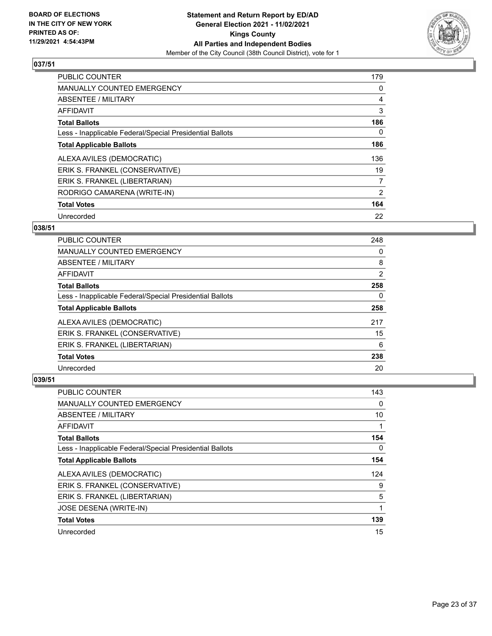

| <b>PUBLIC COUNTER</b>                                    | 179 |
|----------------------------------------------------------|-----|
| <b>MANUALLY COUNTED EMERGENCY</b>                        | 0   |
| ABSENTEE / MILITARY                                      | 4   |
| AFFIDAVIT                                                | 3   |
| <b>Total Ballots</b>                                     | 186 |
| Less - Inapplicable Federal/Special Presidential Ballots | 0   |
| <b>Total Applicable Ballots</b>                          | 186 |
| ALEXA AVILES (DEMOCRATIC)                                | 136 |
| ERIK S. FRANKEL (CONSERVATIVE)                           | 19  |
| ERIK S. FRANKEL (LIBERTARIAN)                            | 7   |
| RODRIGO CAMARENA (WRITE-IN)                              | 2   |
| <b>Total Votes</b>                                       | 164 |
| Unrecorded                                               | 22  |

#### **038/51**

| <b>PUBLIC COUNTER</b>                                    | 248 |
|----------------------------------------------------------|-----|
| <b>MANUALLY COUNTED EMERGENCY</b>                        | 0   |
| ABSENTEE / MILITARY                                      | 8   |
| <b>AFFIDAVIT</b>                                         | 2   |
| <b>Total Ballots</b>                                     | 258 |
| Less - Inapplicable Federal/Special Presidential Ballots | 0   |
| <b>Total Applicable Ballots</b>                          | 258 |
| ALEXA AVILES (DEMOCRATIC)                                | 217 |
| ERIK S. FRANKEL (CONSERVATIVE)                           | 15  |
| ERIK S. FRANKEL (LIBERTARIAN)                            | 6   |
| <b>Total Votes</b>                                       | 238 |
| Unrecorded                                               | 20  |

| PUBLIC COUNTER                                           | 143 |
|----------------------------------------------------------|-----|
| MANUALLY COUNTED EMERGENCY                               | 0   |
| ABSENTEE / MILITARY                                      | 10  |
| AFFIDAVIT                                                |     |
| <b>Total Ballots</b>                                     | 154 |
| Less - Inapplicable Federal/Special Presidential Ballots | 0   |
| <b>Total Applicable Ballots</b>                          | 154 |
| ALEXA AVILES (DEMOCRATIC)                                | 124 |
| ERIK S. FRANKEL (CONSERVATIVE)                           | 9   |
| ERIK S. FRANKEL (LIBERTARIAN)                            | 5   |
| JOSE DESENA (WRITE-IN)                                   |     |
| <b>Total Votes</b>                                       | 139 |
| Unrecorded                                               | 15  |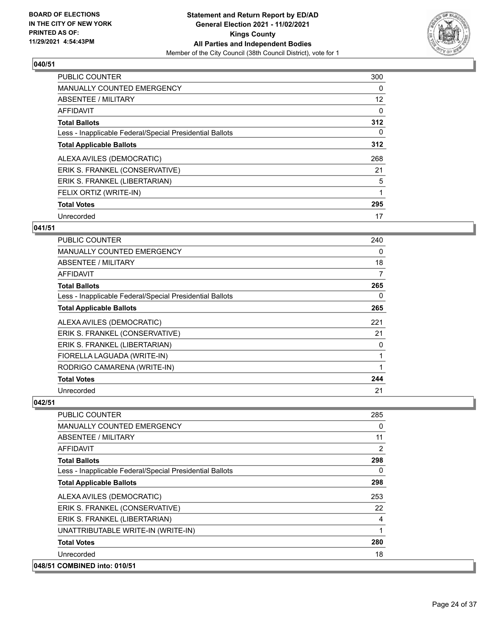

## $\sqrt{040/51}$

| <b>PUBLIC COUNTER</b>                                    | 300 |
|----------------------------------------------------------|-----|
| <b>MANUALLY COUNTED EMERGENCY</b>                        | 0   |
| ABSENTEE / MILITARY                                      | 12  |
| AFFIDAVIT                                                | 0   |
| <b>Total Ballots</b>                                     | 312 |
| Less - Inapplicable Federal/Special Presidential Ballots | 0   |
| <b>Total Applicable Ballots</b>                          | 312 |
| ALEXA AVILES (DEMOCRATIC)                                | 268 |
| ERIK S. FRANKEL (CONSERVATIVE)                           | 21  |
| ERIK S. FRANKEL (LIBERTARIAN)                            | 5   |
| FELIX ORTIZ (WRITE-IN)                                   |     |
| <b>Total Votes</b>                                       | 295 |
| Unrecorded                                               | 17  |

## **041/51**

| <b>PUBLIC COUNTER</b>                                    | 240 |
|----------------------------------------------------------|-----|
| <b>MANUALLY COUNTED EMERGENCY</b>                        | 0   |
| <b>ABSENTEE / MILITARY</b>                               | 18  |
| <b>AFFIDAVIT</b>                                         | 7   |
| <b>Total Ballots</b>                                     | 265 |
| Less - Inapplicable Federal/Special Presidential Ballots | 0   |
| <b>Total Applicable Ballots</b>                          | 265 |
| ALEXA AVILES (DEMOCRATIC)                                | 221 |
| ERIK S. FRANKEL (CONSERVATIVE)                           | 21  |
| ERIK S. FRANKEL (LIBERTARIAN)                            | 0   |
| FIORELLA LAGUADA (WRITE-IN)                              | 1   |
| RODRIGO CAMARENA (WRITE-IN)                              | 1   |
| <b>Total Votes</b>                                       | 244 |
| Unrecorded                                               | 21  |

| <b>PUBLIC COUNTER</b>                                    | 285 |
|----------------------------------------------------------|-----|
| <b>MANUALLY COUNTED EMERGENCY</b>                        | 0   |
| <b>ABSENTEE / MILITARY</b>                               | 11  |
| AFFIDAVIT                                                | 2   |
| <b>Total Ballots</b>                                     | 298 |
| Less - Inapplicable Federal/Special Presidential Ballots | 0   |
| <b>Total Applicable Ballots</b>                          | 298 |
| ALEXA AVILES (DEMOCRATIC)                                | 253 |
| ERIK S. FRANKEL (CONSERVATIVE)                           | 22  |
| ERIK S. FRANKEL (LIBERTARIAN)                            | 4   |
| UNATTRIBUTABLE WRITE-IN (WRITE-IN)                       | 1   |
| <b>Total Votes</b>                                       | 280 |
| Unrecorded                                               | 18  |
| 048/51 COMBINED into: 010/51                             |     |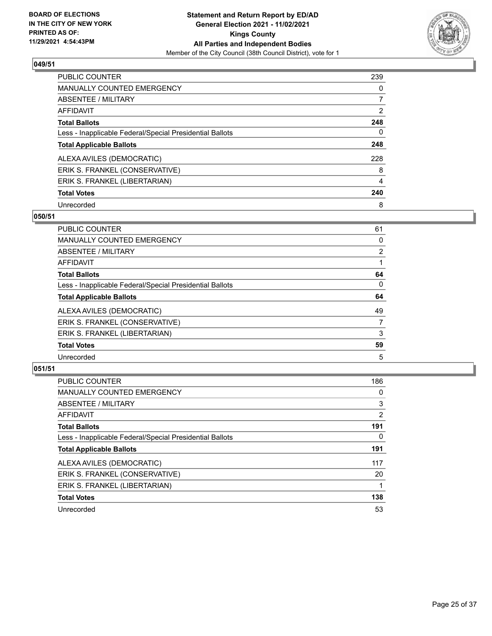

| PUBLIC COUNTER                                           | 239            |
|----------------------------------------------------------|----------------|
| <b>MANUALLY COUNTED EMERGENCY</b>                        | $\Omega$       |
| ABSENTEE / MILITARY                                      |                |
| AFFIDAVIT                                                | $\overline{2}$ |
| <b>Total Ballots</b>                                     | 248            |
| Less - Inapplicable Federal/Special Presidential Ballots | 0              |
| <b>Total Applicable Ballots</b>                          | 248            |
| ALEXA AVILES (DEMOCRATIC)                                | 228            |
| ERIK S. FRANKEL (CONSERVATIVE)                           | 8              |
| ERIK S. FRANKEL (LIBERTARIAN)                            | $\overline{4}$ |
| <b>Total Votes</b>                                       | 240            |
| Unrecorded                                               | 8              |

#### **050/51**

| <b>PUBLIC COUNTER</b>                                    | 61             |
|----------------------------------------------------------|----------------|
| <b>MANUALLY COUNTED EMERGENCY</b>                        | 0              |
| ABSENTEE / MILITARY                                      | $\overline{2}$ |
| <b>AFFIDAVIT</b>                                         |                |
| <b>Total Ballots</b>                                     | 64             |
| Less - Inapplicable Federal/Special Presidential Ballots | $\Omega$       |
| <b>Total Applicable Ballots</b>                          | 64             |
| ALEXA AVILES (DEMOCRATIC)                                | 49             |
| ERIK S. FRANKEL (CONSERVATIVE)                           | 7              |
| ERIK S. FRANKEL (LIBERTARIAN)                            | 3              |
| <b>Total Votes</b>                                       | 59             |
| Unrecorded                                               | 5              |

| <b>PUBLIC COUNTER</b>                                    | 186            |
|----------------------------------------------------------|----------------|
| <b>MANUALLY COUNTED EMERGENCY</b>                        | 0              |
| ABSENTEE / MILITARY                                      | 3              |
| AFFIDAVIT                                                | $\overline{2}$ |
| <b>Total Ballots</b>                                     | 191            |
| Less - Inapplicable Federal/Special Presidential Ballots | 0              |
| <b>Total Applicable Ballots</b>                          | 191            |
| ALEXA AVILES (DEMOCRATIC)                                | 117            |
| ERIK S. FRANKEL (CONSERVATIVE)                           | 20             |
| ERIK S. FRANKEL (LIBERTARIAN)                            |                |
| <b>Total Votes</b>                                       | 138            |
| Unrecorded                                               | 53             |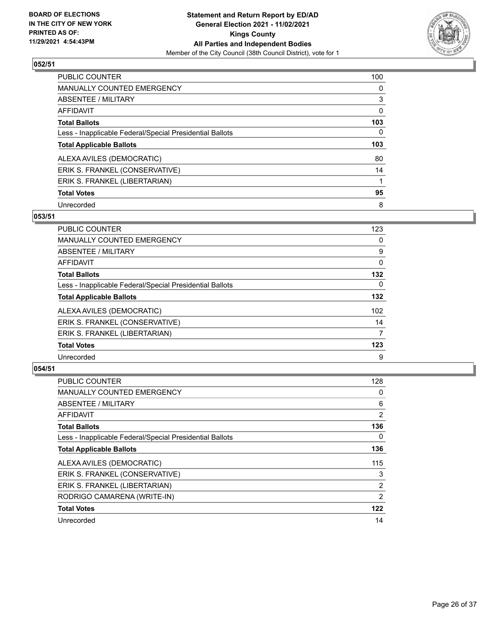

| <b>PUBLIC COUNTER</b>                                    | 100      |
|----------------------------------------------------------|----------|
| <b>MANUALLY COUNTED EMERGENCY</b>                        | $\Omega$ |
| ABSENTEE / MILITARY                                      | 3        |
| AFFIDAVIT                                                | 0        |
| <b>Total Ballots</b>                                     | 103      |
| Less - Inapplicable Federal/Special Presidential Ballots | 0        |
| <b>Total Applicable Ballots</b>                          | 103      |
| ALEXA AVILES (DEMOCRATIC)                                | 80       |
| ERIK S. FRANKEL (CONSERVATIVE)                           | 14       |
| ERIK S. FRANKEL (LIBERTARIAN)                            |          |
|                                                          |          |
| <b>Total Votes</b>                                       | 95       |

#### **053/51**

| <b>PUBLIC COUNTER</b>                                    | 123      |
|----------------------------------------------------------|----------|
| <b>MANUALLY COUNTED EMERGENCY</b>                        | 0        |
| ABSENTEE / MILITARY                                      | 9        |
| <b>AFFIDAVIT</b>                                         | $\Omega$ |
| <b>Total Ballots</b>                                     | 132      |
| Less - Inapplicable Federal/Special Presidential Ballots | $\Omega$ |
| <b>Total Applicable Ballots</b>                          | 132      |
| ALEXA AVILES (DEMOCRATIC)                                | 102      |
| ERIK S. FRANKEL (CONSERVATIVE)                           | 14       |
| ERIK S. FRANKEL (LIBERTARIAN)                            | 7        |
| <b>Total Votes</b>                                       | 123      |
| Unrecorded                                               | 9        |

| <b>PUBLIC COUNTER</b>                                    | 128            |
|----------------------------------------------------------|----------------|
| <b>MANUALLY COUNTED EMERGENCY</b>                        | 0              |
| ABSENTEE / MILITARY                                      | 6              |
| AFFIDAVIT                                                | $\overline{2}$ |
| <b>Total Ballots</b>                                     | 136            |
| Less - Inapplicable Federal/Special Presidential Ballots | $\Omega$       |
| <b>Total Applicable Ballots</b>                          | 136            |
| ALEXA AVILES (DEMOCRATIC)                                | 115            |
| ERIK S. FRANKEL (CONSERVATIVE)                           | 3              |
| ERIK S. FRANKEL (LIBERTARIAN)                            | $\overline{2}$ |
| RODRIGO CAMARENA (WRITE-IN)                              | 2              |
| <b>Total Votes</b>                                       | 122            |
| Unrecorded                                               | 14             |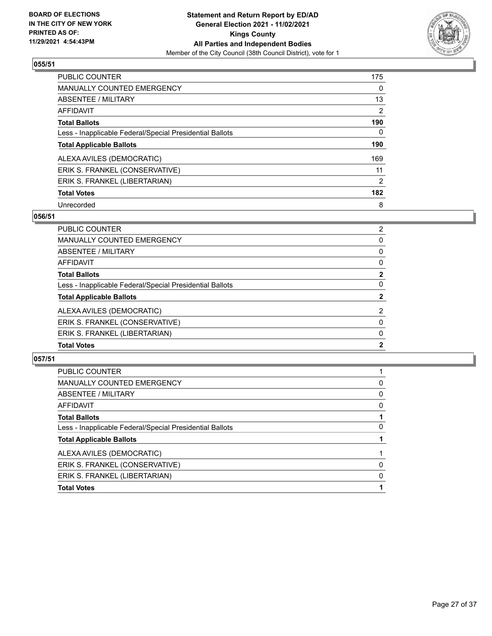

| PUBLIC COUNTER                                           | 175            |
|----------------------------------------------------------|----------------|
| MANUALLY COUNTED EMERGENCY                               | $\Omega$       |
| ABSENTEE / MILITARY                                      | 13             |
| AFFIDAVIT                                                | 2              |
| <b>Total Ballots</b>                                     | 190            |
| Less - Inapplicable Federal/Special Presidential Ballots | 0              |
| <b>Total Applicable Ballots</b>                          | 190            |
| ALEXA AVILES (DEMOCRATIC)                                | 169            |
| ERIK S. FRANKEL (CONSERVATIVE)                           | 11             |
| ERIK S. FRANKEL (LIBERTARIAN)                            | $\overline{2}$ |
| <b>Total Votes</b>                                       | 182            |
| Unrecorded                                               | 8              |

#### **056/51**

| PUBLIC COUNTER                                           | $\overline{2}$ |
|----------------------------------------------------------|----------------|
| <b>MANUALLY COUNTED EMERGENCY</b>                        | $\Omega$       |
| ABSENTEE / MILITARY                                      | 0              |
| <b>AFFIDAVIT</b>                                         | 0              |
| <b>Total Ballots</b>                                     | $\overline{2}$ |
| Less - Inapplicable Federal/Special Presidential Ballots | $\Omega$       |
| <b>Total Applicable Ballots</b>                          | $\mathbf{2}$   |
| ALEXA AVILES (DEMOCRATIC)                                | 2              |
| ERIK S. FRANKEL (CONSERVATIVE)                           | $\Omega$       |
| ERIK S. FRANKEL (LIBERTARIAN)                            | $\Omega$       |
| <b>Total Votes</b>                                       | $\mathbf{2}$   |
|                                                          |                |

| <b>Total Votes</b>                                       |   |
|----------------------------------------------------------|---|
| ERIK S. FRANKEL (LIBERTARIAN)                            | 0 |
| ERIK S. FRANKEL (CONSERVATIVE)                           | 0 |
| ALEXA AVILES (DEMOCRATIC)                                |   |
| <b>Total Applicable Ballots</b>                          |   |
| Less - Inapplicable Federal/Special Presidential Ballots | 0 |
| <b>Total Ballots</b>                                     |   |
| AFFIDAVIT                                                | 0 |
| <b>ABSENTEE / MILITARY</b>                               | 0 |
| <b>MANUALLY COUNTED EMERGENCY</b>                        | 0 |
| PUBLIC COUNTER                                           |   |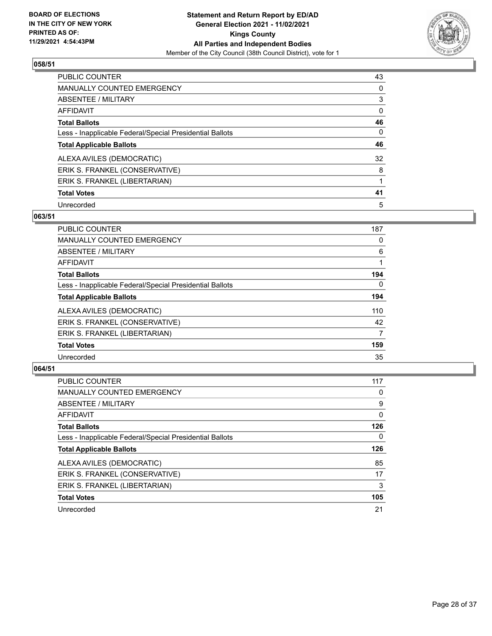

| PUBLIC COUNTER                                           | 43       |
|----------------------------------------------------------|----------|
| <b>MANUALLY COUNTED EMERGENCY</b>                        | $\Omega$ |
| ABSENTEE / MILITARY                                      | 3        |
| AFFIDAVIT                                                | 0        |
| <b>Total Ballots</b>                                     | 46       |
| Less - Inapplicable Federal/Special Presidential Ballots | 0        |
| <b>Total Applicable Ballots</b>                          | 46       |
| ALEXA AVILES (DEMOCRATIC)                                | 32       |
| ERIK S. FRANKEL (CONSERVATIVE)                           | 8        |
| ERIK S. FRANKEL (LIBERTARIAN)                            |          |
| <b>Total Votes</b>                                       | 41       |
| Unrecorded                                               | 5        |

#### **063/51**

| PUBLIC COUNTER                                           | 187      |
|----------------------------------------------------------|----------|
| MANUALLY COUNTED EMERGENCY                               | 0        |
| ABSENTEE / MILITARY                                      | 6        |
| AFFIDAVIT                                                |          |
| <b>Total Ballots</b>                                     | 194      |
| Less - Inapplicable Federal/Special Presidential Ballots | $\Omega$ |
| <b>Total Applicable Ballots</b>                          | 194      |
| ALEXA AVILES (DEMOCRATIC)                                | 110      |
| ERIK S. FRANKEL (CONSERVATIVE)                           | 42       |
| ERIK S. FRANKEL (LIBERTARIAN)                            | 7        |
| <b>Total Votes</b>                                       | 159      |
| Unrecorded                                               | 35       |

| <b>PUBLIC COUNTER</b>                                    | 117      |
|----------------------------------------------------------|----------|
| <b>MANUALLY COUNTED EMERGENCY</b>                        | $\Omega$ |
| ABSENTEE / MILITARY                                      | 9        |
| AFFIDAVIT                                                | 0        |
| <b>Total Ballots</b>                                     | 126      |
| Less - Inapplicable Federal/Special Presidential Ballots | 0        |
| <b>Total Applicable Ballots</b>                          | 126      |
| ALEXA AVILES (DEMOCRATIC)                                | 85       |
| ERIK S. FRANKEL (CONSERVATIVE)                           | 17       |
| ERIK S. FRANKEL (LIBERTARIAN)                            | 3        |
| <b>Total Votes</b>                                       | 105      |
| Unrecorded                                               | 21       |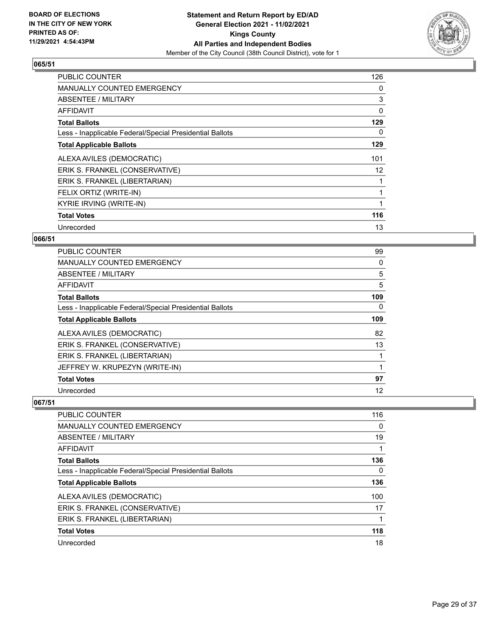

| <b>PUBLIC COUNTER</b>                                    | 126 |
|----------------------------------------------------------|-----|
| <b>MANUALLY COUNTED EMERGENCY</b>                        | 0   |
| ABSENTEE / MILITARY                                      | 3   |
| AFFIDAVIT                                                | 0   |
| <b>Total Ballots</b>                                     | 129 |
| Less - Inapplicable Federal/Special Presidential Ballots | 0   |
| <b>Total Applicable Ballots</b>                          | 129 |
| ALEXA AVILES (DEMOCRATIC)                                | 101 |
| ERIK S. FRANKEL (CONSERVATIVE)                           | 12  |
| ERIK S. FRANKEL (LIBERTARIAN)                            |     |
| FELIX ORTIZ (WRITE-IN)                                   |     |
| <b>KYRIE IRVING (WRITE-IN)</b>                           |     |
| <b>Total Votes</b>                                       | 116 |
| Unrecorded                                               | 13  |

#### **066/51**

| <b>PUBLIC COUNTER</b>                                    | 99  |
|----------------------------------------------------------|-----|
| MANUALLY COUNTED EMERGENCY                               | 0   |
| ABSENTEE / MILITARY                                      | 5   |
| AFFIDAVIT                                                | 5   |
| <b>Total Ballots</b>                                     | 109 |
| Less - Inapplicable Federal/Special Presidential Ballots | 0   |
| <b>Total Applicable Ballots</b>                          | 109 |
| ALEXA AVILES (DEMOCRATIC)                                | 82  |
| ERIK S. FRANKEL (CONSERVATIVE)                           | 13  |
| ERIK S. FRANKEL (LIBERTARIAN)                            |     |
| JEFFREY W. KRUPEZYN (WRITE-IN)                           |     |
| <b>Total Votes</b>                                       | 97  |
| Unrecorded                                               | 12  |

| PUBLIC COUNTER                                           | 116      |
|----------------------------------------------------------|----------|
| <b>MANUALLY COUNTED EMERGENCY</b>                        | 0        |
| ABSENTEE / MILITARY                                      | 19       |
| AFFIDAVIT                                                |          |
| <b>Total Ballots</b>                                     | 136      |
| Less - Inapplicable Federal/Special Presidential Ballots | $\Omega$ |
| <b>Total Applicable Ballots</b>                          | 136      |
| ALEXA AVILES (DEMOCRATIC)                                | 100      |
| ERIK S. FRANKEL (CONSERVATIVE)                           | 17       |
| ERIK S. FRANKEL (LIBERTARIAN)                            |          |
| <b>Total Votes</b>                                       | 118      |
| Unrecorded                                               | 18       |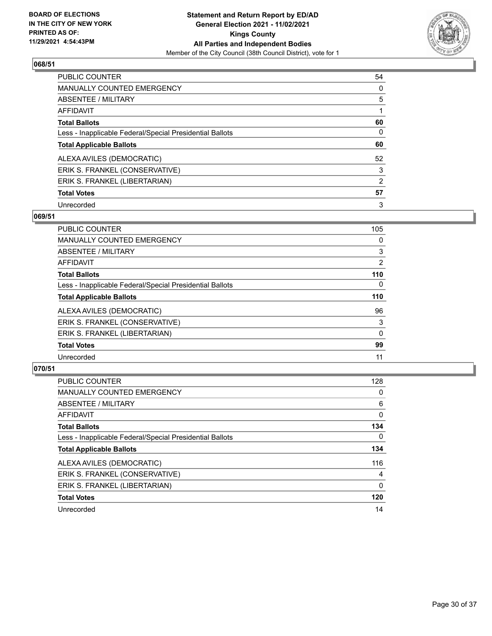

| PUBLIC COUNTER                                           | 54       |
|----------------------------------------------------------|----------|
| <b>MANUALLY COUNTED EMERGENCY</b>                        | $\Omega$ |
| ABSENTEE / MILITARY                                      | 5        |
| AFFIDAVIT                                                |          |
| <b>Total Ballots</b>                                     | 60       |
| Less - Inapplicable Federal/Special Presidential Ballots | 0        |
| <b>Total Applicable Ballots</b>                          | 60       |
| ALEXA AVILES (DEMOCRATIC)                                | 52       |
| ERIK S. FRANKEL (CONSERVATIVE)                           | 3        |
| ERIK S. FRANKEL (LIBERTARIAN)                            | 2        |
| <b>Total Votes</b>                                       | 57       |
| Unrecorded                                               | 3        |

#### **069/51**

| <b>PUBLIC COUNTER</b>                                    | 105          |
|----------------------------------------------------------|--------------|
| MANUALLY COUNTED EMERGENCY                               | 0            |
| ABSENTEE / MILITARY                                      | 3            |
| <b>AFFIDAVIT</b>                                         | 2            |
| <b>Total Ballots</b>                                     | 110          |
| Less - Inapplicable Federal/Special Presidential Ballots | $\Omega$     |
| <b>Total Applicable Ballots</b>                          | 110          |
| ALEXA AVILES (DEMOCRATIC)                                | 96           |
| ERIK S. FRANKEL (CONSERVATIVE)                           | 3            |
| ERIK S. FRANKEL (LIBERTARIAN)                            | $\mathbf{0}$ |
| <b>Total Votes</b>                                       | 99           |
| Unrecorded                                               | 11           |

| <b>PUBLIC COUNTER</b>                                    | 128      |
|----------------------------------------------------------|----------|
| <b>MANUALLY COUNTED EMERGENCY</b>                        | $\Omega$ |
| ABSENTEE / MILITARY                                      | 6        |
| <b>AFFIDAVIT</b>                                         | 0        |
| <b>Total Ballots</b>                                     | 134      |
| Less - Inapplicable Federal/Special Presidential Ballots | $\Omega$ |
| <b>Total Applicable Ballots</b>                          | 134      |
| ALEXA AVILES (DEMOCRATIC)                                | 116      |
| ERIK S. FRANKEL (CONSERVATIVE)                           | 4        |
| ERIK S. FRANKEL (LIBERTARIAN)                            | $\Omega$ |
| <b>Total Votes</b>                                       | 120      |
| Unrecorded                                               | 14       |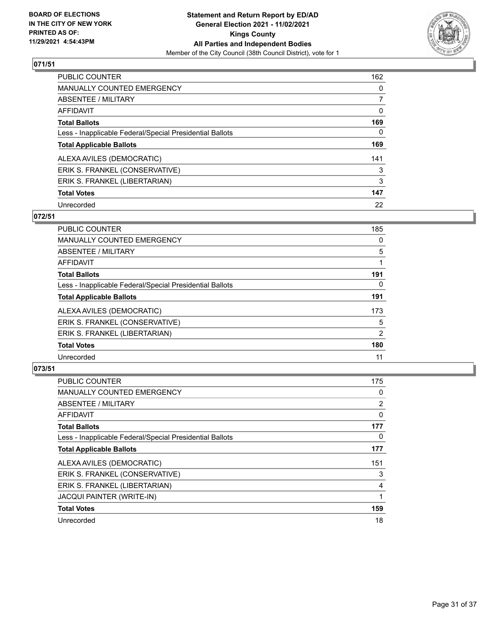

| PUBLIC COUNTER                                           | 162      |
|----------------------------------------------------------|----------|
| <b>MANUALLY COUNTED EMERGENCY</b>                        | $\Omega$ |
| ABSENTEE / MILITARY                                      | 7        |
| AFFIDAVIT                                                | 0        |
| <b>Total Ballots</b>                                     | 169      |
| Less - Inapplicable Federal/Special Presidential Ballots | 0        |
| <b>Total Applicable Ballots</b>                          | 169      |
| ALEXA AVILES (DEMOCRATIC)                                | 141      |
| ERIK S. FRANKEL (CONSERVATIVE)                           | 3        |
| ERIK S. FRANKEL (LIBERTARIAN)                            | 3        |
| <b>Total Votes</b>                                       | 147      |
| Unrecorded                                               | 22       |

#### **072/51**

| <b>PUBLIC COUNTER</b>                                    | 185      |
|----------------------------------------------------------|----------|
| <b>MANUALLY COUNTED EMERGENCY</b>                        | $\Omega$ |
| ABSENTEE / MILITARY                                      | 5        |
| <b>AFFIDAVIT</b>                                         |          |
| <b>Total Ballots</b>                                     | 191      |
| Less - Inapplicable Federal/Special Presidential Ballots | 0        |
| <b>Total Applicable Ballots</b>                          | 191      |
| ALEXA AVILES (DEMOCRATIC)                                | 173      |
| ERIK S. FRANKEL (CONSERVATIVE)                           | 5        |
| ERIK S. FRANKEL (LIBERTARIAN)                            | 2        |
| <b>Total Votes</b>                                       | 180      |
| Unrecorded                                               | 11       |

| <b>PUBLIC COUNTER</b>                                    | 175            |
|----------------------------------------------------------|----------------|
| <b>MANUALLY COUNTED EMERGENCY</b>                        | 0              |
| ABSENTEE / MILITARY                                      | $\overline{2}$ |
| AFFIDAVIT                                                | 0              |
| <b>Total Ballots</b>                                     | 177            |
| Less - Inapplicable Federal/Special Presidential Ballots | 0              |
| <b>Total Applicable Ballots</b>                          | 177            |
| ALEXA AVILES (DEMOCRATIC)                                | 151            |
| ERIK S. FRANKEL (CONSERVATIVE)                           | 3              |
| ERIK S. FRANKEL (LIBERTARIAN)                            | 4              |
| <b>JACQUI PAINTER (WRITE-IN)</b>                         |                |
| <b>Total Votes</b>                                       | 159            |
| Unrecorded                                               | 18             |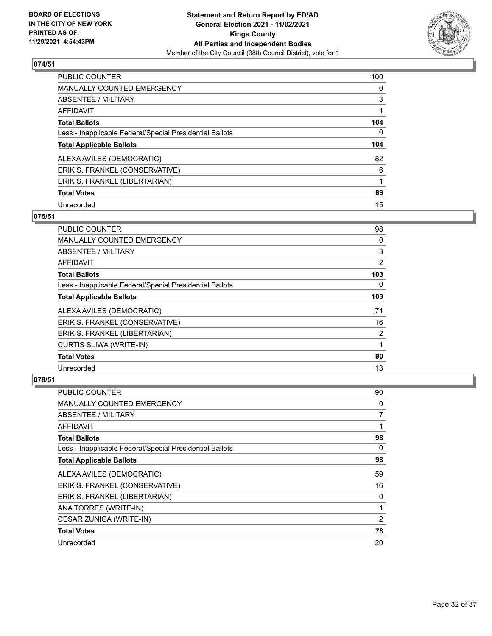

| <b>PUBLIC COUNTER</b>                                    | 100      |
|----------------------------------------------------------|----------|
| MANUALLY COUNTED EMERGENCY                               | $\Omega$ |
| ABSENTEE / MILITARY                                      | 3        |
| AFFIDAVIT                                                |          |
| <b>Total Ballots</b>                                     | 104      |
| Less - Inapplicable Federal/Special Presidential Ballots | $\Omega$ |
| <b>Total Applicable Ballots</b>                          | 104      |
| ALEXA AVILES (DEMOCRATIC)                                | 82       |
| ERIK S. FRANKEL (CONSERVATIVE)                           | 6        |
| ERIK S. FRANKEL (LIBERTARIAN)                            |          |
| <b>Total Votes</b>                                       | 89       |
| Unrecorded                                               | 15       |

#### **075/51**

| <b>PUBLIC COUNTER</b>                                    | 98       |
|----------------------------------------------------------|----------|
| <b>MANUALLY COUNTED EMERGENCY</b>                        | 0        |
| ABSENTEE / MILITARY                                      | 3        |
| AFFIDAVIT                                                | 2        |
| <b>Total Ballots</b>                                     | 103      |
| Less - Inapplicable Federal/Special Presidential Ballots | $\Omega$ |
| <b>Total Applicable Ballots</b>                          | 103      |
| ALEXA AVILES (DEMOCRATIC)                                | 71       |
| ERIK S. FRANKEL (CONSERVATIVE)                           | 16       |
| ERIK S. FRANKEL (LIBERTARIAN)                            | 2        |
| CURTIS SLIWA (WRITE-IN)                                  | 1        |
| <b>Total Votes</b>                                       | 90       |
| Unrecorded                                               | 13       |

| PUBLIC COUNTER                                           | 90       |
|----------------------------------------------------------|----------|
| <b>MANUALLY COUNTED EMERGENCY</b>                        | 0        |
| ABSENTEE / MILITARY                                      | 7        |
| AFFIDAVIT                                                | 1        |
| <b>Total Ballots</b>                                     | 98       |
| Less - Inapplicable Federal/Special Presidential Ballots | $\Omega$ |
| <b>Total Applicable Ballots</b>                          | 98       |
| ALEXA AVILES (DEMOCRATIC)                                | 59       |
| ERIK S. FRANKEL (CONSERVATIVE)                           | 16       |
| ERIK S. FRANKEL (LIBERTARIAN)                            | 0        |
| ANA TORRES (WRITE-IN)                                    | 1        |
| CESAR ZUNIGA (WRITE-IN)                                  | 2        |
| <b>Total Votes</b>                                       | 78       |
| Unrecorded                                               | 20       |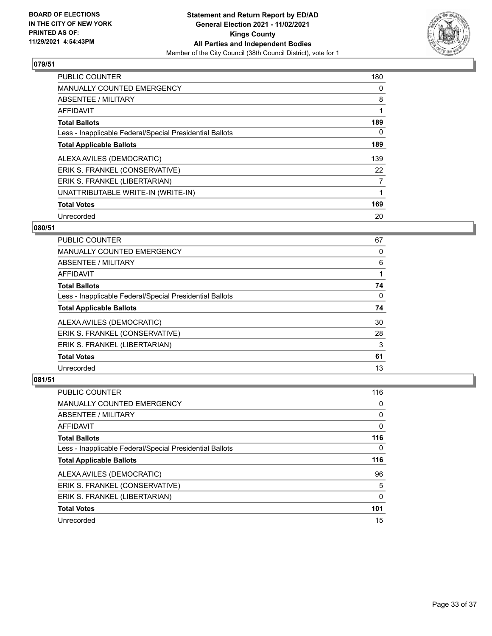

| <b>PUBLIC COUNTER</b>                                    | 180            |
|----------------------------------------------------------|----------------|
| <b>MANUALLY COUNTED EMERGENCY</b>                        | 0              |
| ABSENTEE / MILITARY                                      | 8              |
| AFFIDAVIT                                                |                |
| <b>Total Ballots</b>                                     | 189            |
| Less - Inapplicable Federal/Special Presidential Ballots | 0              |
| <b>Total Applicable Ballots</b>                          | 189            |
| ALEXA AVILES (DEMOCRATIC)                                | 139            |
| ERIK S. FRANKEL (CONSERVATIVE)                           | 22             |
| ERIK S. FRANKEL (LIBERTARIAN)                            | $\overline{7}$ |
| UNATTRIBUTABLE WRITE-IN (WRITE-IN)                       |                |
| <b>Total Votes</b>                                       | 169            |
| Unrecorded                                               | 20             |

#### **080/51**

| PUBLIC COUNTER                                           | 67 |
|----------------------------------------------------------|----|
| <b>MANUALLY COUNTED EMERGENCY</b>                        | 0  |
| ABSENTEE / MILITARY                                      | 6  |
| AFFIDAVIT                                                |    |
| <b>Total Ballots</b>                                     | 74 |
| Less - Inapplicable Federal/Special Presidential Ballots | 0  |
| <b>Total Applicable Ballots</b>                          | 74 |
| ALEXA AVILES (DEMOCRATIC)                                | 30 |
| ERIK S. FRANKEL (CONSERVATIVE)                           | 28 |
| ERIK S. FRANKEL (LIBERTARIAN)                            | 3  |
| <b>Total Votes</b>                                       | 61 |
| Unrecorded                                               | 13 |

| <b>PUBLIC COUNTER</b>                                    | 116 |
|----------------------------------------------------------|-----|
| <b>MANUALLY COUNTED EMERGENCY</b>                        | 0   |
| ABSENTEE / MILITARY                                      | 0   |
| AFFIDAVIT                                                | 0   |
| <b>Total Ballots</b>                                     | 116 |
| Less - Inapplicable Federal/Special Presidential Ballots | 0   |
|                                                          |     |
| <b>Total Applicable Ballots</b>                          | 116 |
| ALEXA AVILES (DEMOCRATIC)                                | 96  |
| ERIK S. FRANKEL (CONSERVATIVE)                           | 5   |
| ERIK S. FRANKEL (LIBERTARIAN)                            | 0   |
| <b>Total Votes</b>                                       | 101 |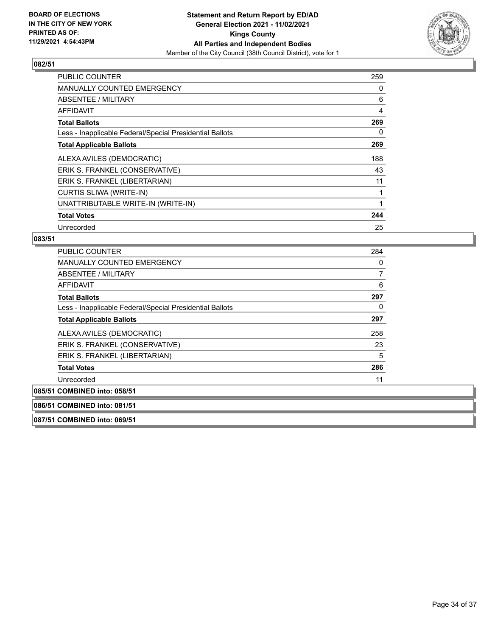

| <b>PUBLIC COUNTER</b>                                    | 259 |
|----------------------------------------------------------|-----|
| <b>MANUALLY COUNTED EMERGENCY</b>                        | 0   |
| ABSENTEE / MILITARY                                      | 6   |
| AFFIDAVIT                                                | 4   |
| <b>Total Ballots</b>                                     | 269 |
| Less - Inapplicable Federal/Special Presidential Ballots | 0   |
| <b>Total Applicable Ballots</b>                          | 269 |
| ALEXA AVILES (DEMOCRATIC)                                | 188 |
| ERIK S. FRANKEL (CONSERVATIVE)                           | 43  |
| ERIK S. FRANKEL (LIBERTARIAN)                            | 11  |
| <b>CURTIS SLIWA (WRITE-IN)</b>                           |     |
| UNATTRIBUTABLE WRITE-IN (WRITE-IN)                       |     |
| <b>Total Votes</b>                                       | 244 |
| Unrecorded                                               | 25  |

#### **083/51**

|                                   | <b>PUBLIC COUNTER</b>                                    |     |
|-----------------------------------|----------------------------------------------------------|-----|
| <b>MANUALLY COUNTED EMERGENCY</b> |                                                          | 0   |
| ABSENTEE / MILITARY               |                                                          | 7   |
| AFFIDAVIT                         |                                                          | 6   |
| <b>Total Ballots</b>              |                                                          | 297 |
|                                   | Less - Inapplicable Federal/Special Presidential Ballots | 0   |
| <b>Total Applicable Ballots</b>   |                                                          | 297 |
| ALEXA AVILES (DEMOCRATIC)         |                                                          | 258 |
|                                   | ERIK S. FRANKEL (CONSERVATIVE)                           | 23  |
|                                   | ERIK S. FRANKEL (LIBERTARIAN)                            | 5   |
| <b>Total Votes</b>                |                                                          | 286 |
| Unrecorded                        |                                                          | 11  |
| 085/51 COMBINED into: 058/51      |                                                          |     |

**086/51 COMBINED into: 081/51**

**087/51 COMBINED into: 069/51**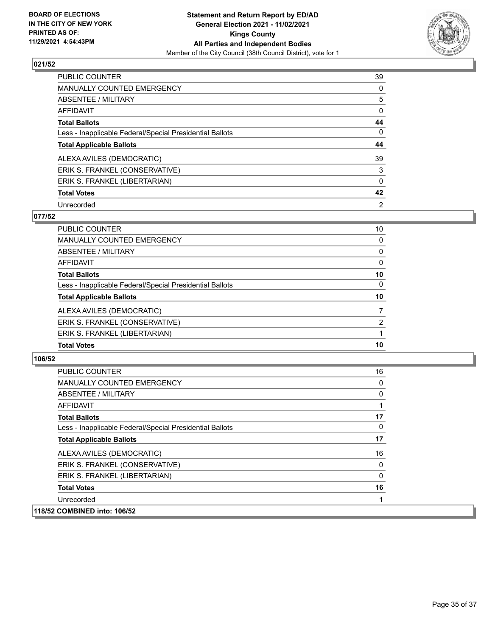

| <b>PUBLIC COUNTER</b>                                    | 39             |
|----------------------------------------------------------|----------------|
| <b>MANUALLY COUNTED EMERGENCY</b>                        | 0              |
| ABSENTEE / MILITARY                                      | 5              |
| AFFIDAVIT                                                | 0              |
| <b>Total Ballots</b>                                     | 44             |
| Less - Inapplicable Federal/Special Presidential Ballots | $\Omega$       |
| <b>Total Applicable Ballots</b>                          | 44             |
| ALEXA AVILES (DEMOCRATIC)                                | 39             |
| ERIK S. FRANKEL (CONSERVATIVE)                           | 3              |
| ERIK S. FRANKEL (LIBERTARIAN)                            | $\Omega$       |
| <b>Total Votes</b>                                       | 42             |
| Unrecorded                                               | $\overline{2}$ |

#### **077/52**

| PUBLIC COUNTER                                           | 10       |
|----------------------------------------------------------|----------|
| MANUALLY COUNTED EMERGENCY                               | 0        |
| ABSENTEE / MILITARY                                      | 0        |
| AFFIDAVIT                                                | 0        |
| <b>Total Ballots</b>                                     | 10       |
| Less - Inapplicable Federal/Special Presidential Ballots | $\Omega$ |
| <b>Total Applicable Ballots</b>                          | 10       |
| ALEXA AVILES (DEMOCRATIC)                                | 7        |
| ERIK S. FRANKEL (CONSERVATIVE)                           | 2        |
| ERIK S. FRANKEL (LIBERTARIAN)                            |          |
| <b>Total Votes</b>                                       | 10       |

| <b>PUBLIC COUNTER</b>                                    | 16 |
|----------------------------------------------------------|----|
| <b>MANUALLY COUNTED EMERGENCY</b>                        | 0  |
| ABSENTEE / MILITARY                                      | 0  |
| AFFIDAVIT                                                |    |
| <b>Total Ballots</b>                                     | 17 |
| Less - Inapplicable Federal/Special Presidential Ballots | 0  |
| <b>Total Applicable Ballots</b>                          | 17 |
| ALEXA AVILES (DEMOCRATIC)                                | 16 |
| ERIK S. FRANKEL (CONSERVATIVE)                           | 0  |
| ERIK S. FRANKEL (LIBERTARIAN)                            | 0  |
| <b>Total Votes</b>                                       | 16 |
| Unrecorded                                               |    |
| 118/52 COMBINED into: 106/52                             |    |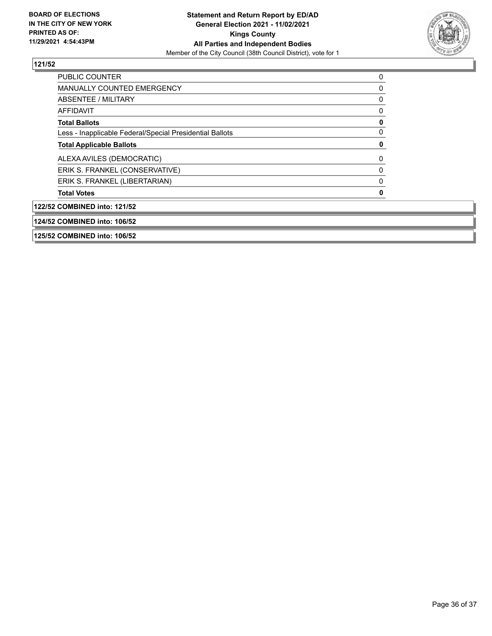

| 125/52 COMBINED into: 106/52                             |   |
|----------------------------------------------------------|---|
| 124/52 COMBINED into: 106/52                             |   |
| 122/52 COMBINED into: 121/52                             |   |
| <b>Total Votes</b>                                       | 0 |
| ERIK S. FRANKEL (LIBERTARIAN)                            | 0 |
| ERIK S. FRANKEL (CONSERVATIVE)                           | 0 |
| ALEXA AVILES (DEMOCRATIC)                                | 0 |
| <b>Total Applicable Ballots</b>                          | 0 |
| Less - Inapplicable Federal/Special Presidential Ballots | 0 |
| <b>Total Ballots</b>                                     | 0 |
| AFFIDAVIT                                                | 0 |
| ABSENTEE / MILITARY                                      | 0 |
| <b>MANUALLY COUNTED EMERGENCY</b>                        | 0 |
| <b>PUBLIC COUNTER</b>                                    | 0 |